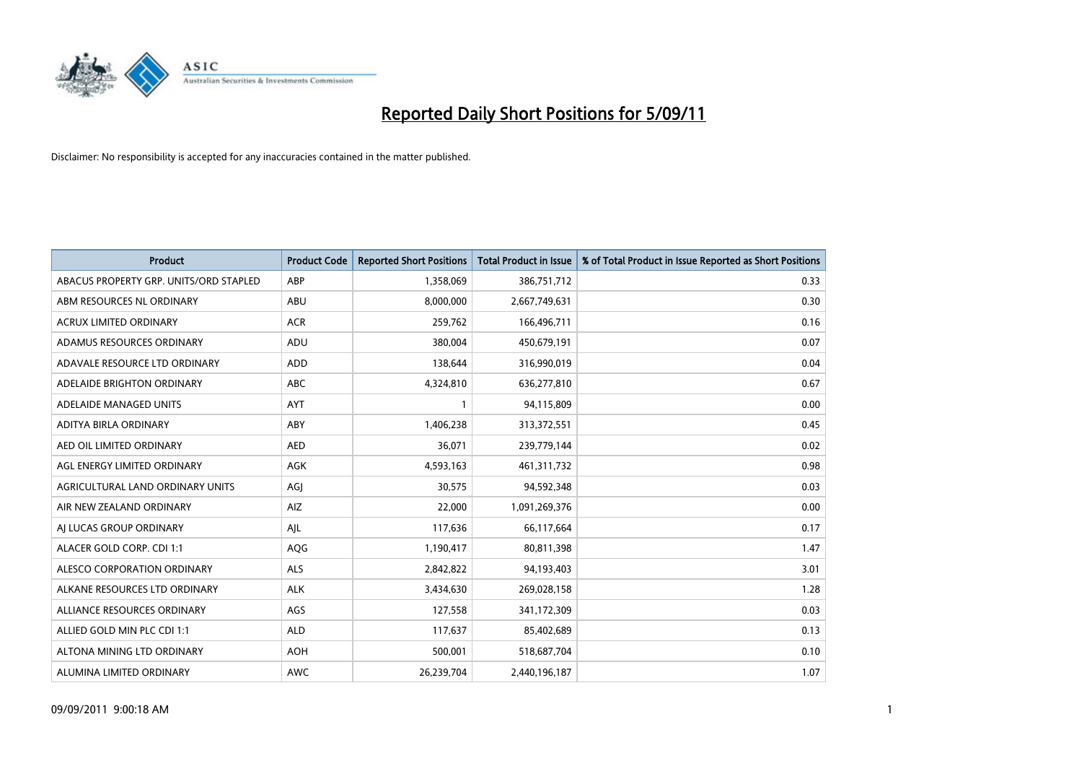

| Product                                | <b>Product Code</b> | <b>Reported Short Positions</b> | <b>Total Product in Issue</b> | % of Total Product in Issue Reported as Short Positions |
|----------------------------------------|---------------------|---------------------------------|-------------------------------|---------------------------------------------------------|
| ABACUS PROPERTY GRP. UNITS/ORD STAPLED | ABP                 | 1,358,069                       | 386,751,712                   | 0.33                                                    |
| ABM RESOURCES NL ORDINARY              | ABU                 | 8,000,000                       | 2,667,749,631                 | 0.30                                                    |
| ACRUX LIMITED ORDINARY                 | <b>ACR</b>          | 259,762                         | 166,496,711                   | 0.16                                                    |
| ADAMUS RESOURCES ORDINARY              | ADU                 | 380,004                         | 450,679,191                   | 0.07                                                    |
| ADAVALE RESOURCE LTD ORDINARY          | <b>ADD</b>          | 138,644                         | 316,990,019                   | 0.04                                                    |
| ADELAIDE BRIGHTON ORDINARY             | <b>ABC</b>          | 4,324,810                       | 636,277,810                   | 0.67                                                    |
| ADELAIDE MANAGED UNITS                 | <b>AYT</b>          |                                 | 94,115,809                    | 0.00                                                    |
| ADITYA BIRLA ORDINARY                  | ABY                 | 1,406,238                       | 313,372,551                   | 0.45                                                    |
| AED OIL LIMITED ORDINARY               | <b>AED</b>          | 36,071                          | 239,779,144                   | 0.02                                                    |
| AGL ENERGY LIMITED ORDINARY            | AGK                 | 4,593,163                       | 461,311,732                   | 0.98                                                    |
| AGRICULTURAL LAND ORDINARY UNITS       | AGJ                 | 30,575                          | 94,592,348                    | 0.03                                                    |
| AIR NEW ZEALAND ORDINARY               | AIZ                 | 22,000                          | 1,091,269,376                 | 0.00                                                    |
| AI LUCAS GROUP ORDINARY                | AJL                 | 117,636                         | 66,117,664                    | 0.17                                                    |
| ALACER GOLD CORP. CDI 1:1              | AQG                 | 1,190,417                       | 80,811,398                    | 1.47                                                    |
| ALESCO CORPORATION ORDINARY            | <b>ALS</b>          | 2,842,822                       | 94,193,403                    | 3.01                                                    |
| ALKANE RESOURCES LTD ORDINARY          | <b>ALK</b>          | 3,434,630                       | 269,028,158                   | 1.28                                                    |
| ALLIANCE RESOURCES ORDINARY            | AGS                 | 127,558                         | 341,172,309                   | 0.03                                                    |
| ALLIED GOLD MIN PLC CDI 1:1            | <b>ALD</b>          | 117,637                         | 85,402,689                    | 0.13                                                    |
| ALTONA MINING LTD ORDINARY             | <b>AOH</b>          | 500,001                         | 518,687,704                   | 0.10                                                    |
| ALUMINA LIMITED ORDINARY               | <b>AWC</b>          | 26.239.704                      | 2,440,196,187                 | 1.07                                                    |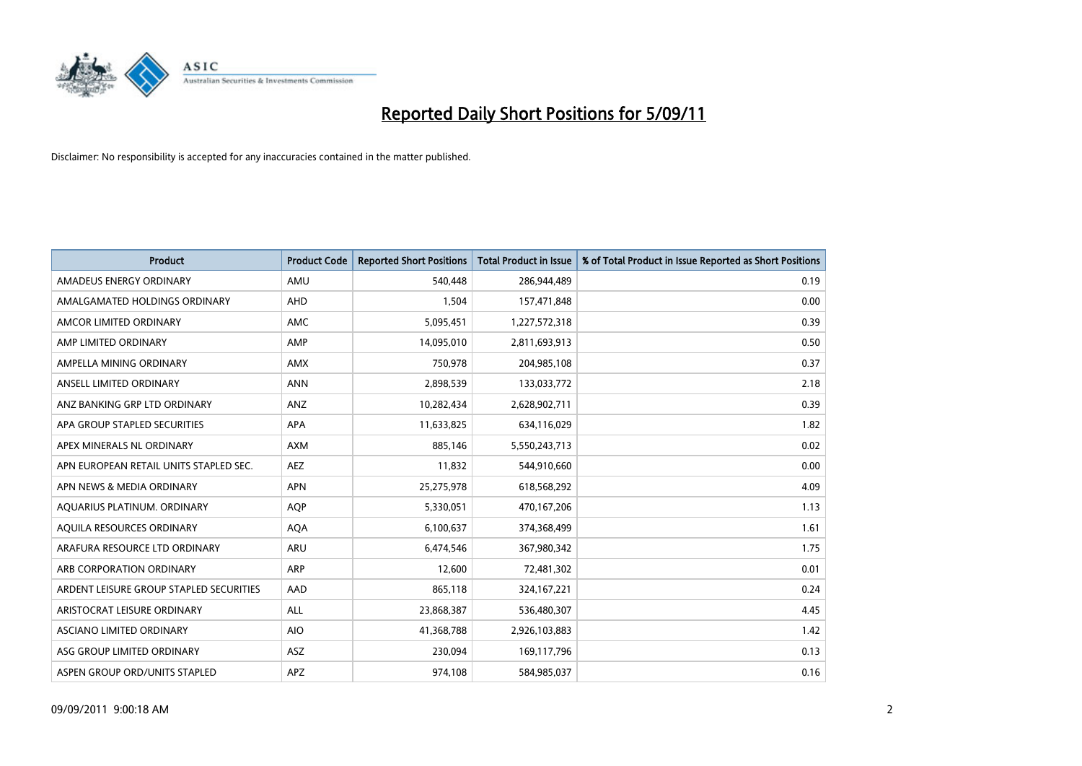

| <b>Product</b>                          | <b>Product Code</b> | <b>Reported Short Positions</b> | <b>Total Product in Issue</b> | % of Total Product in Issue Reported as Short Positions |
|-----------------------------------------|---------------------|---------------------------------|-------------------------------|---------------------------------------------------------|
| AMADEUS ENERGY ORDINARY                 | AMU                 | 540,448                         | 286,944,489                   | 0.19                                                    |
| AMALGAMATED HOLDINGS ORDINARY           | AHD                 | 1,504                           | 157,471,848                   | 0.00                                                    |
| AMCOR LIMITED ORDINARY                  | <b>AMC</b>          | 5,095,451                       | 1,227,572,318                 | 0.39                                                    |
| AMP LIMITED ORDINARY                    | AMP                 | 14,095,010                      | 2,811,693,913                 | 0.50                                                    |
| AMPELLA MINING ORDINARY                 | <b>AMX</b>          | 750,978                         | 204,985,108                   | 0.37                                                    |
| ANSELL LIMITED ORDINARY                 | <b>ANN</b>          | 2,898,539                       | 133,033,772                   | 2.18                                                    |
| ANZ BANKING GRP LTD ORDINARY            | ANZ                 | 10,282,434                      | 2,628,902,711                 | 0.39                                                    |
| APA GROUP STAPLED SECURITIES            | APA                 | 11,633,825                      | 634,116,029                   | 1.82                                                    |
| APEX MINERALS NL ORDINARY               | <b>AXM</b>          | 885,146                         | 5,550,243,713                 | 0.02                                                    |
| APN EUROPEAN RETAIL UNITS STAPLED SEC.  | <b>AEZ</b>          | 11,832                          | 544,910,660                   | 0.00                                                    |
| APN NEWS & MEDIA ORDINARY               | <b>APN</b>          | 25,275,978                      | 618,568,292                   | 4.09                                                    |
| AQUARIUS PLATINUM. ORDINARY             | <b>AOP</b>          | 5,330,051                       | 470,167,206                   | 1.13                                                    |
| AQUILA RESOURCES ORDINARY               | <b>AQA</b>          | 6,100,637                       | 374,368,499                   | 1.61                                                    |
| ARAFURA RESOURCE LTD ORDINARY           | <b>ARU</b>          | 6,474,546                       | 367,980,342                   | 1.75                                                    |
| ARB CORPORATION ORDINARY                | ARP                 | 12,600                          | 72,481,302                    | 0.01                                                    |
| ARDENT LEISURE GROUP STAPLED SECURITIES | AAD                 | 865,118                         | 324, 167, 221                 | 0.24                                                    |
| ARISTOCRAT LEISURE ORDINARY             | <b>ALL</b>          | 23,868,387                      | 536,480,307                   | 4.45                                                    |
| ASCIANO LIMITED ORDINARY                | <b>AIO</b>          | 41,368,788                      | 2,926,103,883                 | 1.42                                                    |
| ASG GROUP LIMITED ORDINARY              | <b>ASZ</b>          | 230,094                         | 169,117,796                   | 0.13                                                    |
| ASPEN GROUP ORD/UNITS STAPLED           | <b>APZ</b>          | 974,108                         | 584,985,037                   | 0.16                                                    |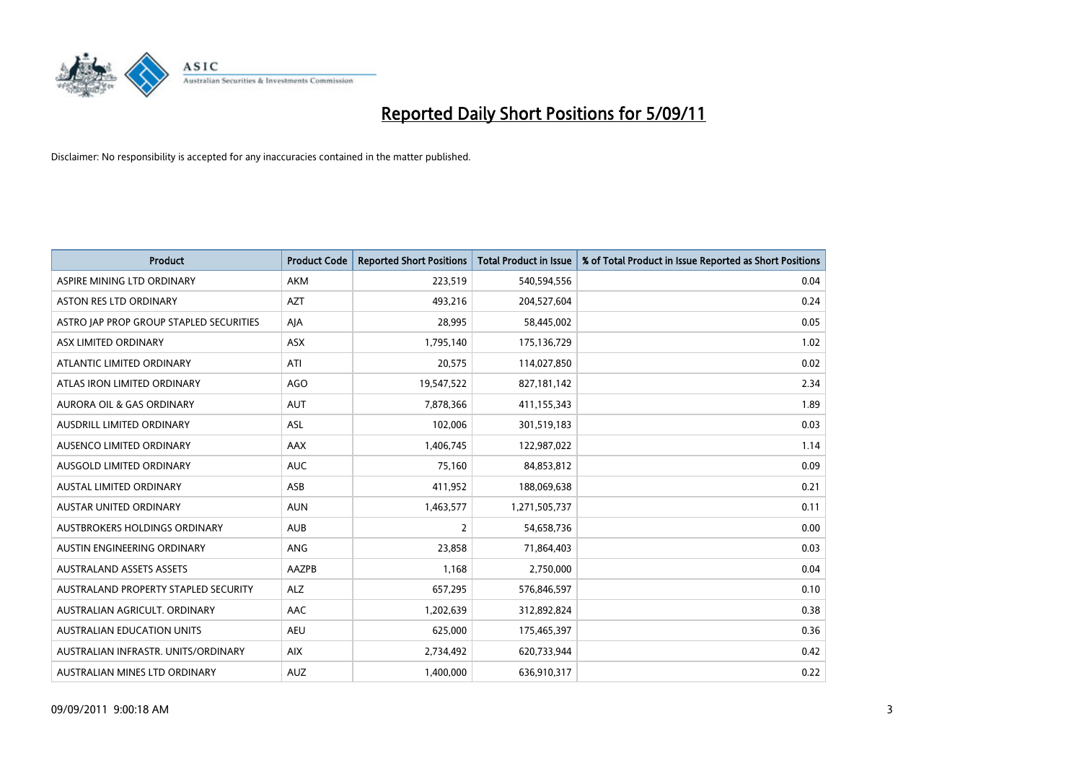

| <b>Product</b>                          | <b>Product Code</b> | <b>Reported Short Positions</b> | Total Product in Issue | % of Total Product in Issue Reported as Short Positions |
|-----------------------------------------|---------------------|---------------------------------|------------------------|---------------------------------------------------------|
| ASPIRE MINING LTD ORDINARY              | <b>AKM</b>          | 223,519                         | 540,594,556            | 0.04                                                    |
| <b>ASTON RES LTD ORDINARY</b>           | <b>AZT</b>          | 493,216                         | 204,527,604            | 0.24                                                    |
| ASTRO JAP PROP GROUP STAPLED SECURITIES | AJA                 | 28,995                          | 58,445,002             | 0.05                                                    |
| ASX LIMITED ORDINARY                    | ASX                 | 1,795,140                       | 175,136,729            | 1.02                                                    |
| ATLANTIC LIMITED ORDINARY               | ATI                 | 20,575                          | 114,027,850            | 0.02                                                    |
| ATLAS IRON LIMITED ORDINARY             | <b>AGO</b>          | 19,547,522                      | 827,181,142            | 2.34                                                    |
| <b>AURORA OIL &amp; GAS ORDINARY</b>    | <b>AUT</b>          | 7,878,366                       | 411,155,343            | 1.89                                                    |
| <b>AUSDRILL LIMITED ORDINARY</b>        | ASL                 | 102,006                         | 301,519,183            | 0.03                                                    |
| AUSENCO LIMITED ORDINARY                | AAX                 | 1,406,745                       | 122,987,022            | 1.14                                                    |
| AUSGOLD LIMITED ORDINARY                | <b>AUC</b>          | 75,160                          | 84,853,812             | 0.09                                                    |
| <b>AUSTAL LIMITED ORDINARY</b>          | ASB                 | 411,952                         | 188,069,638            | 0.21                                                    |
| <b>AUSTAR UNITED ORDINARY</b>           | <b>AUN</b>          | 1,463,577                       | 1,271,505,737          | 0.11                                                    |
| AUSTBROKERS HOLDINGS ORDINARY           | <b>AUB</b>          | $\overline{2}$                  | 54,658,736             | 0.00                                                    |
| AUSTIN ENGINEERING ORDINARY             | ANG                 | 23,858                          | 71,864,403             | 0.03                                                    |
| <b>AUSTRALAND ASSETS ASSETS</b>         | AAZPB               | 1,168                           | 2,750,000              | 0.04                                                    |
| AUSTRALAND PROPERTY STAPLED SECURITY    | <b>ALZ</b>          | 657,295                         | 576,846,597            | 0.10                                                    |
| AUSTRALIAN AGRICULT, ORDINARY           | AAC                 | 1,202,639                       | 312,892,824            | 0.38                                                    |
| AUSTRALIAN EDUCATION UNITS              | <b>AEU</b>          | 625,000                         | 175,465,397            | 0.36                                                    |
| AUSTRALIAN INFRASTR, UNITS/ORDINARY     | <b>AIX</b>          | 2,734,492                       | 620,733,944            | 0.42                                                    |
| AUSTRALIAN MINES LTD ORDINARY           | <b>AUZ</b>          | 1,400,000                       | 636,910,317            | 0.22                                                    |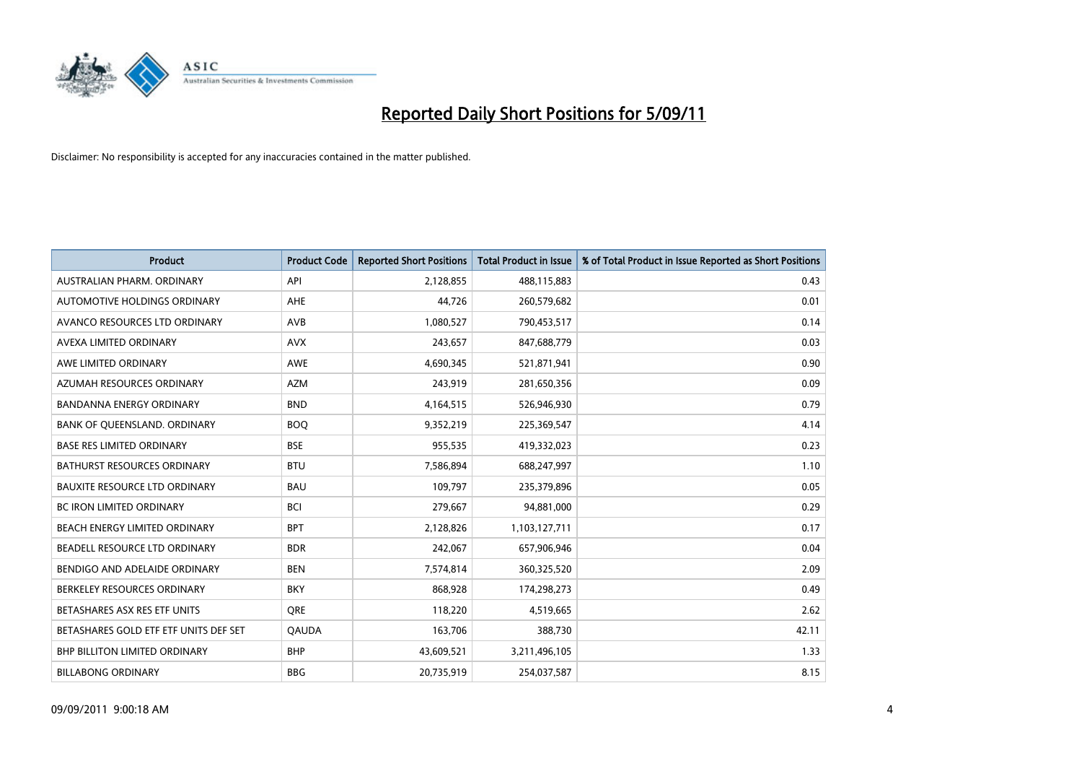

| Product                               | <b>Product Code</b> | <b>Reported Short Positions</b> | <b>Total Product in Issue</b> | % of Total Product in Issue Reported as Short Positions |
|---------------------------------------|---------------------|---------------------------------|-------------------------------|---------------------------------------------------------|
| AUSTRALIAN PHARM, ORDINARY            | API                 | 2,128,855                       | 488,115,883                   | 0.43                                                    |
| <b>AUTOMOTIVE HOLDINGS ORDINARY</b>   | <b>AHE</b>          | 44,726                          | 260,579,682                   | 0.01                                                    |
| AVANCO RESOURCES LTD ORDINARY         | AVB                 | 1,080,527                       | 790,453,517                   | 0.14                                                    |
| AVEXA LIMITED ORDINARY                | <b>AVX</b>          | 243,657                         | 847,688,779                   | 0.03                                                    |
| AWE LIMITED ORDINARY                  | AWE                 | 4,690,345                       | 521,871,941                   | 0.90                                                    |
| AZUMAH RESOURCES ORDINARY             | <b>AZM</b>          | 243,919                         | 281,650,356                   | 0.09                                                    |
| <b>BANDANNA ENERGY ORDINARY</b>       | <b>BND</b>          | 4,164,515                       | 526,946,930                   | 0.79                                                    |
| BANK OF QUEENSLAND. ORDINARY          | <b>BOQ</b>          | 9,352,219                       | 225,369,547                   | 4.14                                                    |
| <b>BASE RES LIMITED ORDINARY</b>      | <b>BSE</b>          | 955,535                         | 419,332,023                   | 0.23                                                    |
| <b>BATHURST RESOURCES ORDINARY</b>    | <b>BTU</b>          | 7,586,894                       | 688,247,997                   | 1.10                                                    |
| <b>BAUXITE RESOURCE LTD ORDINARY</b>  | <b>BAU</b>          | 109,797                         | 235,379,896                   | 0.05                                                    |
| <b>BC IRON LIMITED ORDINARY</b>       | <b>BCI</b>          | 279,667                         | 94,881,000                    | 0.29                                                    |
| BEACH ENERGY LIMITED ORDINARY         | <b>BPT</b>          | 2,128,826                       | 1,103,127,711                 | 0.17                                                    |
| BEADELL RESOURCE LTD ORDINARY         | <b>BDR</b>          | 242,067                         | 657,906,946                   | 0.04                                                    |
| BENDIGO AND ADELAIDE ORDINARY         | <b>BEN</b>          | 7,574,814                       | 360,325,520                   | 2.09                                                    |
| BERKELEY RESOURCES ORDINARY           | <b>BKY</b>          | 868,928                         | 174,298,273                   | 0.49                                                    |
| BETASHARES ASX RES ETF UNITS          | <b>ORE</b>          | 118,220                         | 4,519,665                     | 2.62                                                    |
| BETASHARES GOLD ETF ETF UNITS DEF SET | <b>QAUDA</b>        | 163,706                         | 388,730                       | 42.11                                                   |
| <b>BHP BILLITON LIMITED ORDINARY</b>  | <b>BHP</b>          | 43,609,521                      | 3,211,496,105                 | 1.33                                                    |
| <b>BILLABONG ORDINARY</b>             | <b>BBG</b>          | 20.735.919                      | 254,037,587                   | 8.15                                                    |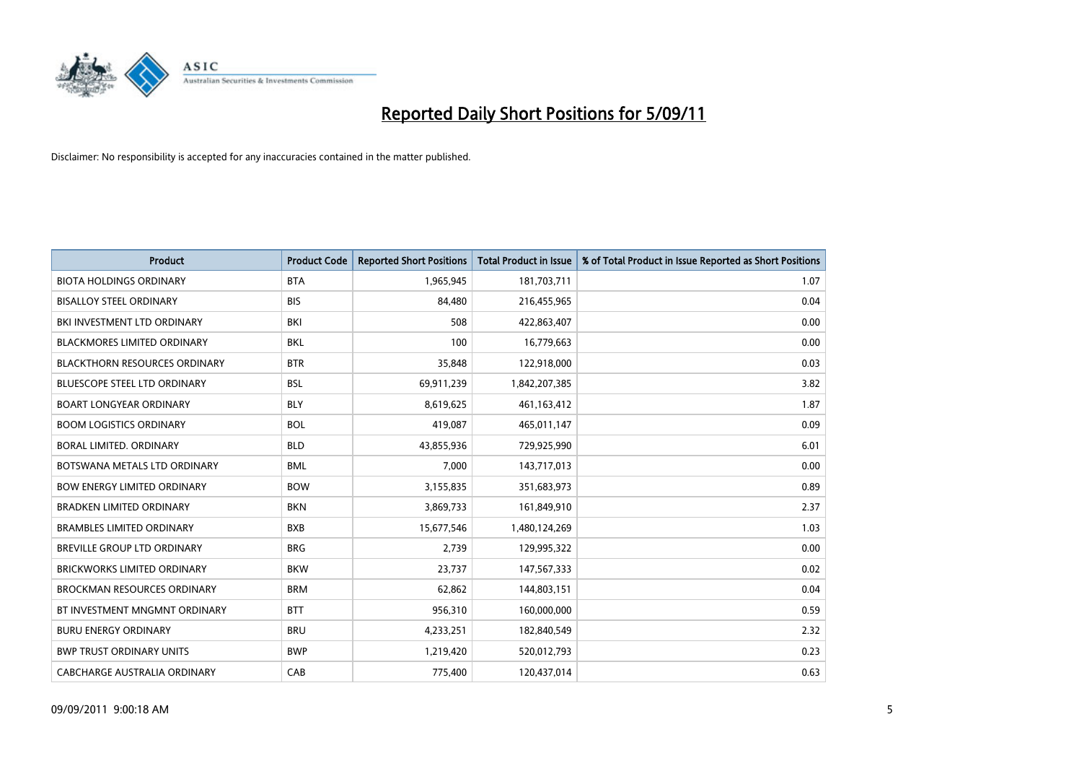

| <b>Product</b>                       | <b>Product Code</b> | <b>Reported Short Positions</b> | <b>Total Product in Issue</b> | % of Total Product in Issue Reported as Short Positions |
|--------------------------------------|---------------------|---------------------------------|-------------------------------|---------------------------------------------------------|
| <b>BIOTA HOLDINGS ORDINARY</b>       | <b>BTA</b>          | 1,965,945                       | 181,703,711                   | 1.07                                                    |
| <b>BISALLOY STEEL ORDINARY</b>       | <b>BIS</b>          | 84,480                          | 216,455,965                   | 0.04                                                    |
| BKI INVESTMENT LTD ORDINARY          | <b>BKI</b>          | 508                             | 422,863,407                   | 0.00                                                    |
| <b>BLACKMORES LIMITED ORDINARY</b>   | <b>BKL</b>          | 100                             | 16,779,663                    | 0.00                                                    |
| <b>BLACKTHORN RESOURCES ORDINARY</b> | <b>BTR</b>          | 35,848                          | 122,918,000                   | 0.03                                                    |
| <b>BLUESCOPE STEEL LTD ORDINARY</b>  | <b>BSL</b>          | 69,911,239                      | 1,842,207,385                 | 3.82                                                    |
| <b>BOART LONGYEAR ORDINARY</b>       | <b>BLY</b>          | 8,619,625                       | 461,163,412                   | 1.87                                                    |
| <b>BOOM LOGISTICS ORDINARY</b>       | <b>BOL</b>          | 419,087                         | 465,011,147                   | 0.09                                                    |
| BORAL LIMITED. ORDINARY              | <b>BLD</b>          | 43,855,936                      | 729,925,990                   | 6.01                                                    |
| BOTSWANA METALS LTD ORDINARY         | <b>BML</b>          | 7,000                           | 143,717,013                   | 0.00                                                    |
| <b>BOW ENERGY LIMITED ORDINARY</b>   | <b>BOW</b>          | 3,155,835                       | 351,683,973                   | 0.89                                                    |
| <b>BRADKEN LIMITED ORDINARY</b>      | <b>BKN</b>          | 3,869,733                       | 161,849,910                   | 2.37                                                    |
| <b>BRAMBLES LIMITED ORDINARY</b>     | <b>BXB</b>          | 15,677,546                      | 1,480,124,269                 | 1.03                                                    |
| BREVILLE GROUP LTD ORDINARY          | <b>BRG</b>          | 2,739                           | 129,995,322                   | 0.00                                                    |
| <b>BRICKWORKS LIMITED ORDINARY</b>   | <b>BKW</b>          | 23,737                          | 147,567,333                   | 0.02                                                    |
| <b>BROCKMAN RESOURCES ORDINARY</b>   | <b>BRM</b>          | 62,862                          | 144,803,151                   | 0.04                                                    |
| BT INVESTMENT MNGMNT ORDINARY        | <b>BTT</b>          | 956,310                         | 160,000,000                   | 0.59                                                    |
| <b>BURU ENERGY ORDINARY</b>          | <b>BRU</b>          | 4,233,251                       | 182,840,549                   | 2.32                                                    |
| <b>BWP TRUST ORDINARY UNITS</b>      | <b>BWP</b>          | 1,219,420                       | 520,012,793                   | 0.23                                                    |
| CABCHARGE AUSTRALIA ORDINARY         | CAB                 | 775,400                         | 120,437,014                   | 0.63                                                    |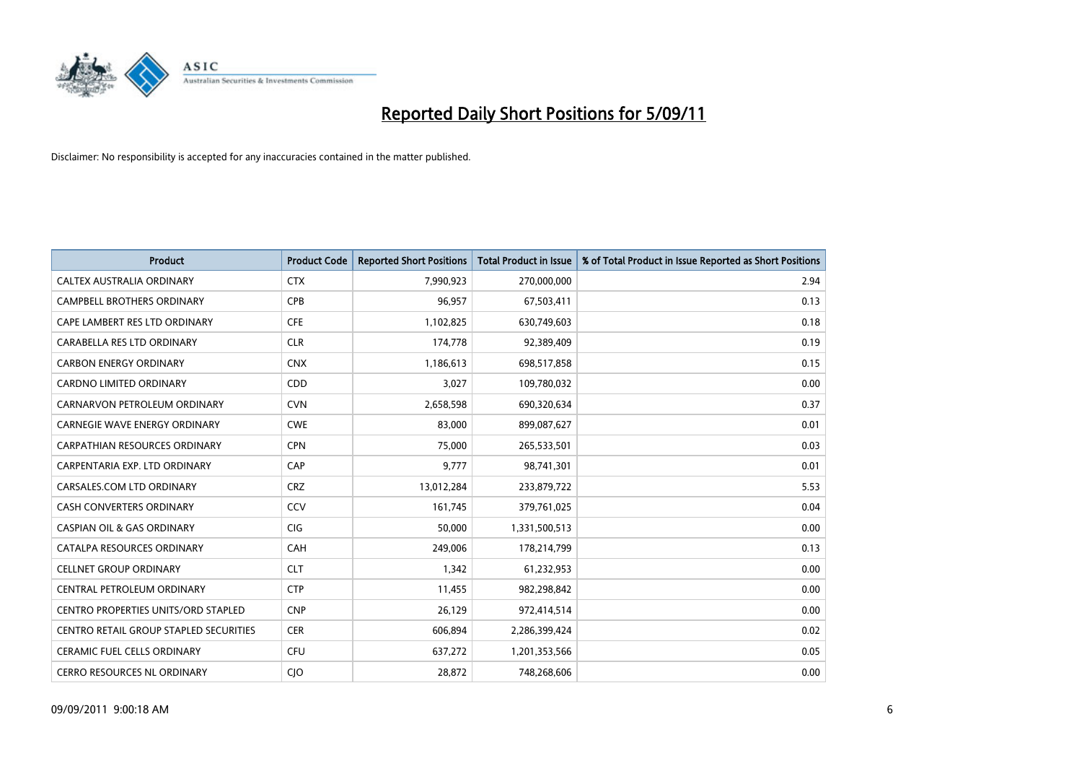

| <b>Product</b>                             | <b>Product Code</b> | <b>Reported Short Positions</b> | <b>Total Product in Issue</b> | % of Total Product in Issue Reported as Short Positions |
|--------------------------------------------|---------------------|---------------------------------|-------------------------------|---------------------------------------------------------|
| <b>CALTEX AUSTRALIA ORDINARY</b>           | <b>CTX</b>          | 7,990,923                       | 270,000,000                   | 2.94                                                    |
| CAMPBELL BROTHERS ORDINARY                 | <b>CPB</b>          | 96,957                          | 67,503,411                    | 0.13                                                    |
| CAPE LAMBERT RES LTD ORDINARY              | <b>CFE</b>          | 1,102,825                       | 630,749,603                   | 0.18                                                    |
| CARABELLA RES LTD ORDINARY                 | <b>CLR</b>          | 174,778                         | 92,389,409                    | 0.19                                                    |
| <b>CARBON ENERGY ORDINARY</b>              | <b>CNX</b>          | 1,186,613                       | 698,517,858                   | 0.15                                                    |
| <b>CARDNO LIMITED ORDINARY</b>             | CDD                 | 3,027                           | 109,780,032                   | 0.00                                                    |
| CARNARVON PETROLEUM ORDINARY               | <b>CVN</b>          | 2,658,598                       | 690,320,634                   | 0.37                                                    |
| <b>CARNEGIE WAVE ENERGY ORDINARY</b>       | <b>CWE</b>          | 83,000                          | 899,087,627                   | 0.01                                                    |
| CARPATHIAN RESOURCES ORDINARY              | <b>CPN</b>          | 75,000                          | 265,533,501                   | 0.03                                                    |
| CARPENTARIA EXP. LTD ORDINARY              | CAP                 | 9,777                           | 98,741,301                    | 0.01                                                    |
| CARSALES.COM LTD ORDINARY                  | <b>CRZ</b>          | 13,012,284                      | 233,879,722                   | 5.53                                                    |
| <b>CASH CONVERTERS ORDINARY</b>            | CCV                 | 161,745                         | 379,761,025                   | 0.04                                                    |
| <b>CASPIAN OIL &amp; GAS ORDINARY</b>      | <b>CIG</b>          | 50,000                          | 1,331,500,513                 | 0.00                                                    |
| CATALPA RESOURCES ORDINARY                 | CAH                 | 249,006                         | 178,214,799                   | 0.13                                                    |
| <b>CELLNET GROUP ORDINARY</b>              | <b>CLT</b>          | 1,342                           | 61,232,953                    | 0.00                                                    |
| CENTRAL PETROLEUM ORDINARY                 | <b>CTP</b>          | 11,455                          | 982,298,842                   | 0.00                                                    |
| <b>CENTRO PROPERTIES UNITS/ORD STAPLED</b> | <b>CNP</b>          | 26,129                          | 972,414,514                   | 0.00                                                    |
| CENTRO RETAIL GROUP STAPLED SECURITIES     | <b>CER</b>          | 606,894                         | 2,286,399,424                 | 0.02                                                    |
| <b>CERAMIC FUEL CELLS ORDINARY</b>         | <b>CFU</b>          | 637,272                         | 1,201,353,566                 | 0.05                                                    |
| CERRO RESOURCES NL ORDINARY                | <b>CIO</b>          | 28,872                          | 748,268,606                   | 0.00                                                    |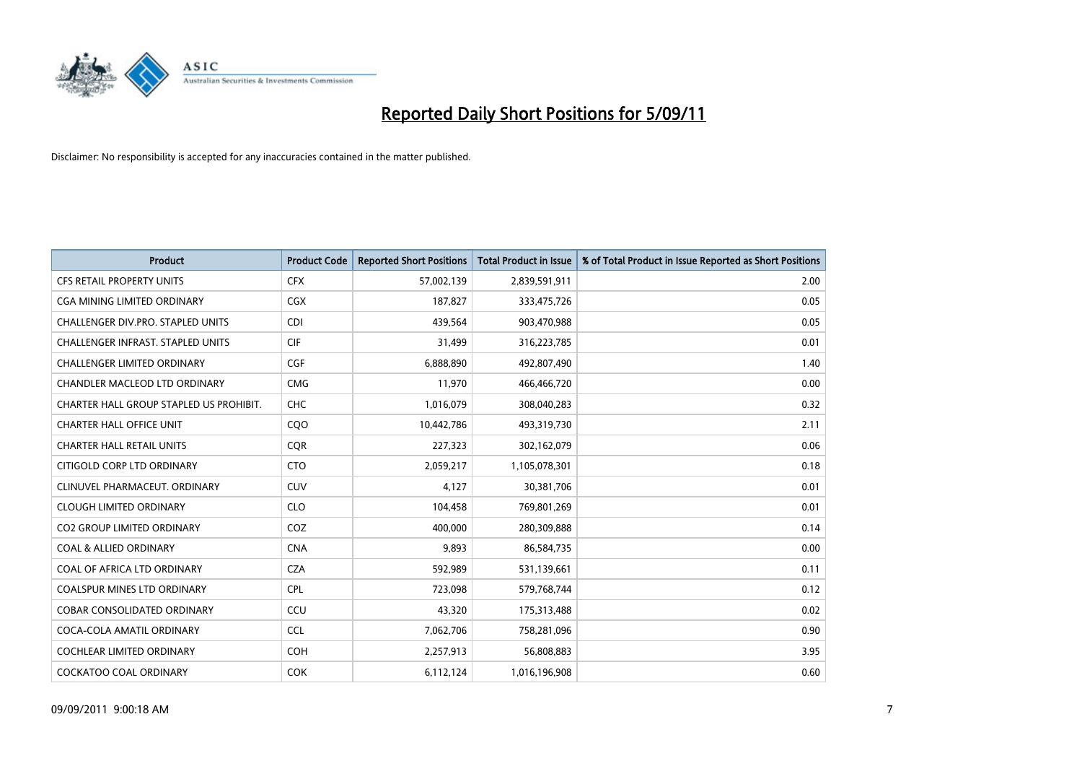

| <b>Product</b>                           | <b>Product Code</b> | <b>Reported Short Positions</b> | Total Product in Issue | % of Total Product in Issue Reported as Short Positions |
|------------------------------------------|---------------------|---------------------------------|------------------------|---------------------------------------------------------|
| <b>CFS RETAIL PROPERTY UNITS</b>         | <b>CFX</b>          | 57,002,139                      | 2,839,591,911          | 2.00                                                    |
| <b>CGA MINING LIMITED ORDINARY</b>       | <b>CGX</b>          | 187,827                         | 333,475,726            | 0.05                                                    |
| <b>CHALLENGER DIV.PRO. STAPLED UNITS</b> | <b>CDI</b>          | 439,564                         | 903,470,988            | 0.05                                                    |
| <b>CHALLENGER INFRAST, STAPLED UNITS</b> | <b>CIF</b>          | 31,499                          | 316,223,785            | 0.01                                                    |
| <b>CHALLENGER LIMITED ORDINARY</b>       | CGF                 | 6,888,890                       | 492,807,490            | 1.40                                                    |
| <b>CHANDLER MACLEOD LTD ORDINARY</b>     | <b>CMG</b>          | 11,970                          | 466,466,720            | 0.00                                                    |
| CHARTER HALL GROUP STAPLED US PROHIBIT.  | <b>CHC</b>          | 1,016,079                       | 308,040,283            | 0.32                                                    |
| <b>CHARTER HALL OFFICE UNIT</b>          | CQ <sub>O</sub>     | 10,442,786                      | 493,319,730            | 2.11                                                    |
| <b>CHARTER HALL RETAIL UNITS</b>         | <b>CQR</b>          | 227,323                         | 302,162,079            | 0.06                                                    |
| CITIGOLD CORP LTD ORDINARY               | <b>CTO</b>          | 2,059,217                       | 1,105,078,301          | 0.18                                                    |
| CLINUVEL PHARMACEUT. ORDINARY            | <b>CUV</b>          | 4,127                           | 30,381,706             | 0.01                                                    |
| <b>CLOUGH LIMITED ORDINARY</b>           | <b>CLO</b>          | 104,458                         | 769,801,269            | 0.01                                                    |
| <b>CO2 GROUP LIMITED ORDINARY</b>        | COZ                 | 400,000                         | 280,309,888            | 0.14                                                    |
| <b>COAL &amp; ALLIED ORDINARY</b>        | <b>CNA</b>          | 9,893                           | 86,584,735             | 0.00                                                    |
| COAL OF AFRICA LTD ORDINARY              | <b>CZA</b>          | 592,989                         | 531,139,661            | 0.11                                                    |
| <b>COALSPUR MINES LTD ORDINARY</b>       | <b>CPL</b>          | 723,098                         | 579,768,744            | 0.12                                                    |
| <b>COBAR CONSOLIDATED ORDINARY</b>       | CCU                 | 43,320                          | 175,313,488            | 0.02                                                    |
| COCA-COLA AMATIL ORDINARY                | <b>CCL</b>          | 7,062,706                       | 758,281,096            | 0.90                                                    |
| <b>COCHLEAR LIMITED ORDINARY</b>         | <b>COH</b>          | 2,257,913                       | 56,808,883             | 3.95                                                    |
| <b>COCKATOO COAL ORDINARY</b>            | <b>COK</b>          | 6,112,124                       | 1,016,196,908          | 0.60                                                    |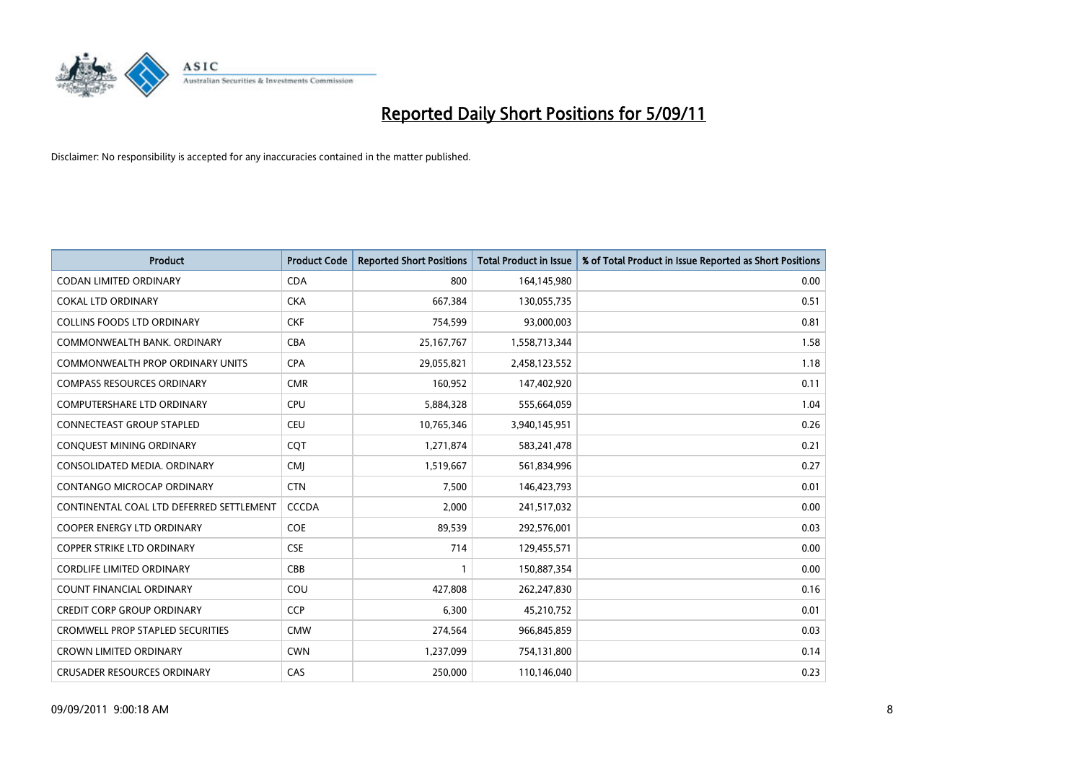

| Product                                  | <b>Product Code</b> | <b>Reported Short Positions</b> | <b>Total Product in Issue</b> | % of Total Product in Issue Reported as Short Positions |
|------------------------------------------|---------------------|---------------------------------|-------------------------------|---------------------------------------------------------|
| <b>CODAN LIMITED ORDINARY</b>            | <b>CDA</b>          | 800                             | 164,145,980                   | 0.00                                                    |
| <b>COKAL LTD ORDINARY</b>                | <b>CKA</b>          | 667,384                         | 130,055,735                   | 0.51                                                    |
| <b>COLLINS FOODS LTD ORDINARY</b>        | <b>CKF</b>          | 754,599                         | 93,000,003                    | 0.81                                                    |
| COMMONWEALTH BANK, ORDINARY              | <b>CBA</b>          | 25, 167, 767                    | 1,558,713,344                 | 1.58                                                    |
| <b>COMMONWEALTH PROP ORDINARY UNITS</b>  | <b>CPA</b>          | 29,055,821                      | 2,458,123,552                 | 1.18                                                    |
| <b>COMPASS RESOURCES ORDINARY</b>        | <b>CMR</b>          | 160,952                         | 147,402,920                   | 0.11                                                    |
| <b>COMPUTERSHARE LTD ORDINARY</b>        | <b>CPU</b>          | 5,884,328                       | 555,664,059                   | 1.04                                                    |
| CONNECTEAST GROUP STAPLED                | <b>CEU</b>          | 10,765,346                      | 3,940,145,951                 | 0.26                                                    |
| CONQUEST MINING ORDINARY                 | <b>COT</b>          | 1,271,874                       | 583,241,478                   | 0.21                                                    |
| CONSOLIDATED MEDIA, ORDINARY             | <b>CMI</b>          | 1,519,667                       | 561,834,996                   | 0.27                                                    |
| CONTANGO MICROCAP ORDINARY               | <b>CTN</b>          | 7,500                           | 146,423,793                   | 0.01                                                    |
| CONTINENTAL COAL LTD DEFERRED SETTLEMENT | <b>CCCDA</b>        | 2,000                           | 241,517,032                   | 0.00                                                    |
| <b>COOPER ENERGY LTD ORDINARY</b>        | <b>COE</b>          | 89,539                          | 292,576,001                   | 0.03                                                    |
| <b>COPPER STRIKE LTD ORDINARY</b>        | <b>CSE</b>          | 714                             | 129,455,571                   | 0.00                                                    |
| <b>CORDLIFE LIMITED ORDINARY</b>         | <b>CBB</b>          |                                 | 150,887,354                   | 0.00                                                    |
| <b>COUNT FINANCIAL ORDINARY</b>          | COU                 | 427,808                         | 262,247,830                   | 0.16                                                    |
| <b>CREDIT CORP GROUP ORDINARY</b>        | <b>CCP</b>          | 6,300                           | 45,210,752                    | 0.01                                                    |
| <b>CROMWELL PROP STAPLED SECURITIES</b>  | <b>CMW</b>          | 274,564                         | 966,845,859                   | 0.03                                                    |
| <b>CROWN LIMITED ORDINARY</b>            | <b>CWN</b>          | 1,237,099                       | 754,131,800                   | 0.14                                                    |
| <b>CRUSADER RESOURCES ORDINARY</b>       | CAS                 | 250,000                         | 110,146,040                   | 0.23                                                    |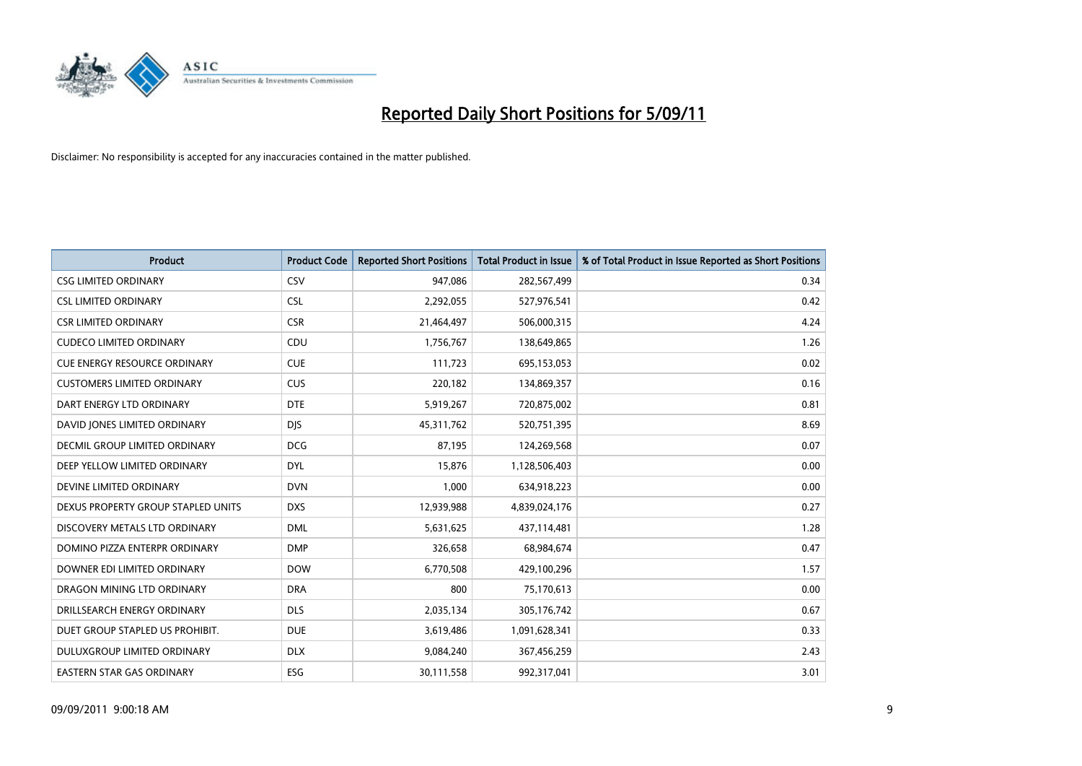

| <b>Product</b>                      | <b>Product Code</b> | <b>Reported Short Positions</b> | Total Product in Issue | % of Total Product in Issue Reported as Short Positions |
|-------------------------------------|---------------------|---------------------------------|------------------------|---------------------------------------------------------|
| <b>CSG LIMITED ORDINARY</b>         | CSV                 | 947,086                         | 282,567,499            | 0.34                                                    |
| <b>CSL LIMITED ORDINARY</b>         | <b>CSL</b>          | 2,292,055                       | 527,976,541            | 0.42                                                    |
| <b>CSR LIMITED ORDINARY</b>         | <b>CSR</b>          | 21,464,497                      | 506,000,315            | 4.24                                                    |
| <b>CUDECO LIMITED ORDINARY</b>      | CDU                 | 1,756,767                       | 138,649,865            | 1.26                                                    |
| <b>CUE ENERGY RESOURCE ORDINARY</b> | <b>CUE</b>          | 111,723                         | 695,153,053            | 0.02                                                    |
| <b>CUSTOMERS LIMITED ORDINARY</b>   | <b>CUS</b>          | 220,182                         | 134,869,357            | 0.16                                                    |
| DART ENERGY LTD ORDINARY            | <b>DTE</b>          | 5,919,267                       | 720,875,002            | 0.81                                                    |
| DAVID JONES LIMITED ORDINARY        | <b>DJS</b>          | 45,311,762                      | 520,751,395            | 8.69                                                    |
| DECMIL GROUP LIMITED ORDINARY       | <b>DCG</b>          | 87,195                          | 124,269,568            | 0.07                                                    |
| DEEP YELLOW LIMITED ORDINARY        | <b>DYL</b>          | 15,876                          | 1,128,506,403          | 0.00                                                    |
| DEVINE LIMITED ORDINARY             | <b>DVN</b>          | 1,000                           | 634,918,223            | 0.00                                                    |
| DEXUS PROPERTY GROUP STAPLED UNITS  | <b>DXS</b>          | 12,939,988                      | 4,839,024,176          | 0.27                                                    |
| DISCOVERY METALS LTD ORDINARY       | <b>DML</b>          | 5,631,625                       | 437,114,481            | 1.28                                                    |
| DOMINO PIZZA ENTERPR ORDINARY       | <b>DMP</b>          | 326,658                         | 68,984,674             | 0.47                                                    |
| DOWNER EDI LIMITED ORDINARY         | <b>DOW</b>          | 6,770,508                       | 429,100,296            | 1.57                                                    |
| DRAGON MINING LTD ORDINARY          | <b>DRA</b>          | 800                             | 75,170,613             | 0.00                                                    |
| DRILLSEARCH ENERGY ORDINARY         | <b>DLS</b>          | 2,035,134                       | 305,176,742            | 0.67                                                    |
| DUET GROUP STAPLED US PROHIBIT.     | <b>DUE</b>          | 3,619,486                       | 1,091,628,341          | 0.33                                                    |
| DULUXGROUP LIMITED ORDINARY         | <b>DLX</b>          | 9,084,240                       | 367,456,259            | 2.43                                                    |
| EASTERN STAR GAS ORDINARY           | ESG                 | 30,111,558                      | 992,317,041            | 3.01                                                    |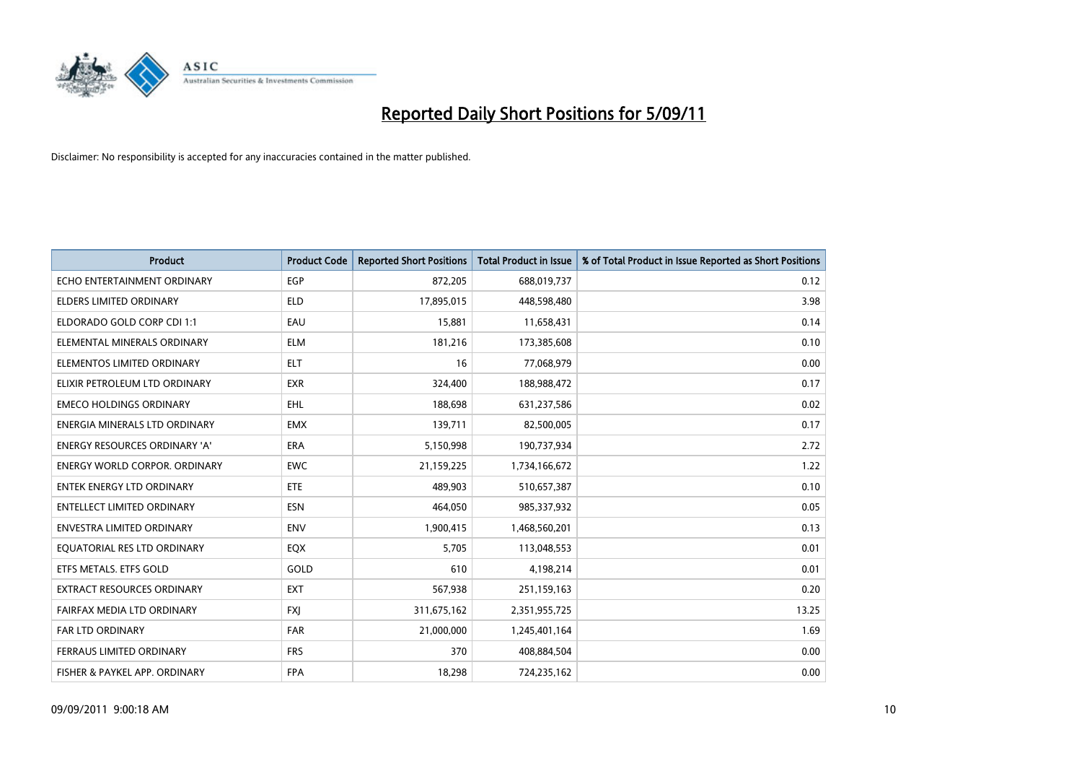

| Product                              | <b>Product Code</b> | <b>Reported Short Positions</b> | <b>Total Product in Issue</b> | % of Total Product in Issue Reported as Short Positions |
|--------------------------------------|---------------------|---------------------------------|-------------------------------|---------------------------------------------------------|
| ECHO ENTERTAINMENT ORDINARY          | EGP                 | 872,205                         | 688,019,737                   | 0.12                                                    |
| ELDERS LIMITED ORDINARY              | <b>ELD</b>          | 17,895,015                      | 448,598,480                   | 3.98                                                    |
| ELDORADO GOLD CORP CDI 1:1           | EAU                 | 15,881                          | 11,658,431                    | 0.14                                                    |
| ELEMENTAL MINERALS ORDINARY          | <b>ELM</b>          | 181,216                         | 173,385,608                   | 0.10                                                    |
| ELEMENTOS LIMITED ORDINARY           | <b>ELT</b>          | 16                              | 77,068,979                    | 0.00                                                    |
| ELIXIR PETROLEUM LTD ORDINARY        | <b>EXR</b>          | 324,400                         | 188,988,472                   | 0.17                                                    |
| <b>EMECO HOLDINGS ORDINARY</b>       | EHL                 | 188,698                         | 631,237,586                   | 0.02                                                    |
| ENERGIA MINERALS LTD ORDINARY        | <b>EMX</b>          | 139,711                         | 82,500,005                    | 0.17                                                    |
| ENERGY RESOURCES ORDINARY 'A'        | <b>ERA</b>          | 5,150,998                       | 190,737,934                   | 2.72                                                    |
| <b>ENERGY WORLD CORPOR, ORDINARY</b> | <b>EWC</b>          | 21,159,225                      | 1,734,166,672                 | 1.22                                                    |
| <b>ENTEK ENERGY LTD ORDINARY</b>     | <b>ETE</b>          | 489,903                         | 510,657,387                   | 0.10                                                    |
| ENTELLECT LIMITED ORDINARY           | ESN                 | 464,050                         | 985,337,932                   | 0.05                                                    |
| <b>ENVESTRA LIMITED ORDINARY</b>     | <b>ENV</b>          | 1,900,415                       | 1,468,560,201                 | 0.13                                                    |
| EQUATORIAL RES LTD ORDINARY          | EQX                 | 5,705                           | 113,048,553                   | 0.01                                                    |
| ETFS METALS. ETFS GOLD               | GOLD                | 610                             | 4,198,214                     | 0.01                                                    |
| <b>EXTRACT RESOURCES ORDINARY</b>    | <b>EXT</b>          | 567,938                         | 251,159,163                   | 0.20                                                    |
| FAIRFAX MEDIA LTD ORDINARY           | <b>FXJ</b>          | 311,675,162                     | 2,351,955,725                 | 13.25                                                   |
| FAR LTD ORDINARY                     | <b>FAR</b>          | 21,000,000                      | 1,245,401,164                 | 1.69                                                    |
| FERRAUS LIMITED ORDINARY             | <b>FRS</b>          | 370                             | 408,884,504                   | 0.00                                                    |
| FISHER & PAYKEL APP. ORDINARY        | <b>FPA</b>          | 18,298                          | 724,235,162                   | 0.00                                                    |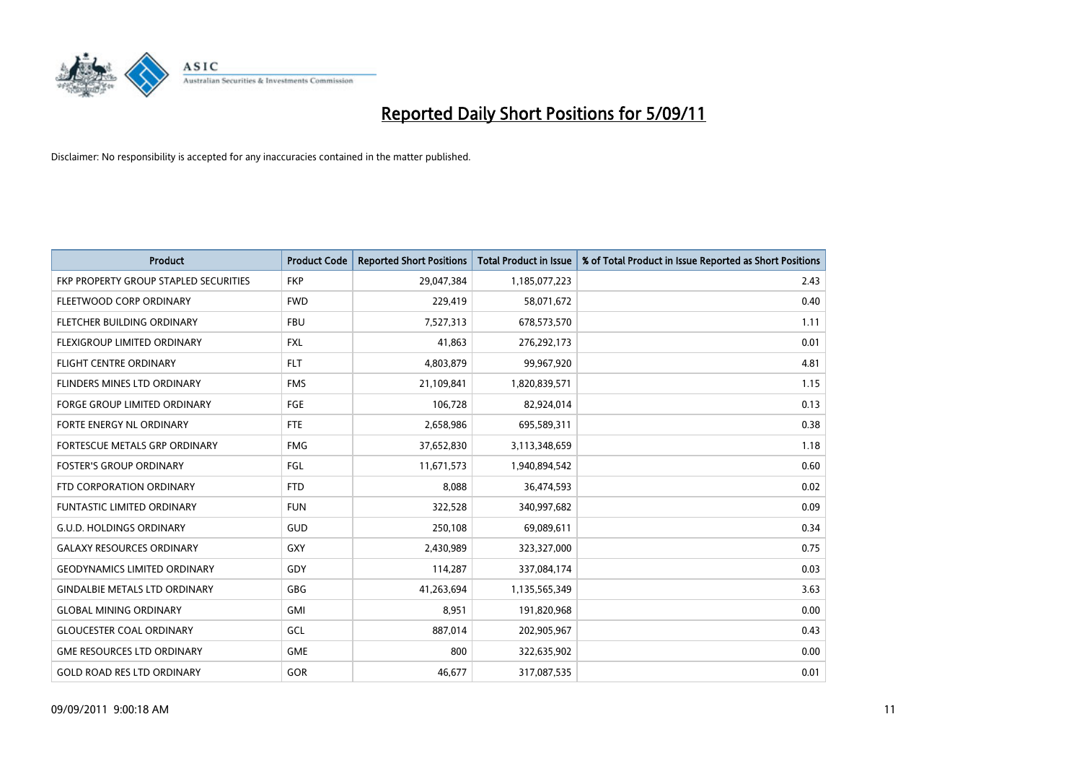

| <b>Product</b>                        | <b>Product Code</b> | <b>Reported Short Positions</b> | <b>Total Product in Issue</b> | % of Total Product in Issue Reported as Short Positions |
|---------------------------------------|---------------------|---------------------------------|-------------------------------|---------------------------------------------------------|
| FKP PROPERTY GROUP STAPLED SECURITIES | <b>FKP</b>          | 29,047,384                      | 1,185,077,223                 | 2.43                                                    |
| FLEETWOOD CORP ORDINARY               | <b>FWD</b>          | 229,419                         | 58,071,672                    | 0.40                                                    |
| FLETCHER BUILDING ORDINARY            | <b>FBU</b>          | 7,527,313                       | 678,573,570                   | 1.11                                                    |
| FLEXIGROUP LIMITED ORDINARY           | <b>FXL</b>          | 41,863                          | 276,292,173                   | 0.01                                                    |
| <b>FLIGHT CENTRE ORDINARY</b>         | <b>FLT</b>          | 4,803,879                       | 99,967,920                    | 4.81                                                    |
| FLINDERS MINES LTD ORDINARY           | <b>FMS</b>          | 21,109,841                      | 1,820,839,571                 | 1.15                                                    |
| <b>FORGE GROUP LIMITED ORDINARY</b>   | FGE                 | 106,728                         | 82,924,014                    | 0.13                                                    |
| <b>FORTE ENERGY NL ORDINARY</b>       | <b>FTE</b>          | 2,658,986                       | 695,589,311                   | 0.38                                                    |
| FORTESCUE METALS GRP ORDINARY         | <b>FMG</b>          | 37,652,830                      | 3,113,348,659                 | 1.18                                                    |
| <b>FOSTER'S GROUP ORDINARY</b>        | FGL                 | 11,671,573                      | 1,940,894,542                 | 0.60                                                    |
| FTD CORPORATION ORDINARY              | <b>FTD</b>          | 8,088                           | 36,474,593                    | 0.02                                                    |
| <b>FUNTASTIC LIMITED ORDINARY</b>     | <b>FUN</b>          | 322,528                         | 340,997,682                   | 0.09                                                    |
| <b>G.U.D. HOLDINGS ORDINARY</b>       | <b>GUD</b>          | 250,108                         | 69,089,611                    | 0.34                                                    |
| <b>GALAXY RESOURCES ORDINARY</b>      | <b>GXY</b>          | 2,430,989                       | 323,327,000                   | 0.75                                                    |
| <b>GEODYNAMICS LIMITED ORDINARY</b>   | GDY                 | 114,287                         | 337,084,174                   | 0.03                                                    |
| <b>GINDALBIE METALS LTD ORDINARY</b>  | <b>GBG</b>          | 41,263,694                      | 1,135,565,349                 | 3.63                                                    |
| <b>GLOBAL MINING ORDINARY</b>         | <b>GMI</b>          | 8,951                           | 191,820,968                   | 0.00                                                    |
| <b>GLOUCESTER COAL ORDINARY</b>       | GCL                 | 887,014                         | 202,905,967                   | 0.43                                                    |
| <b>GME RESOURCES LTD ORDINARY</b>     | <b>GME</b>          | 800                             | 322,635,902                   | 0.00                                                    |
| <b>GOLD ROAD RES LTD ORDINARY</b>     | GOR                 | 46,677                          | 317,087,535                   | 0.01                                                    |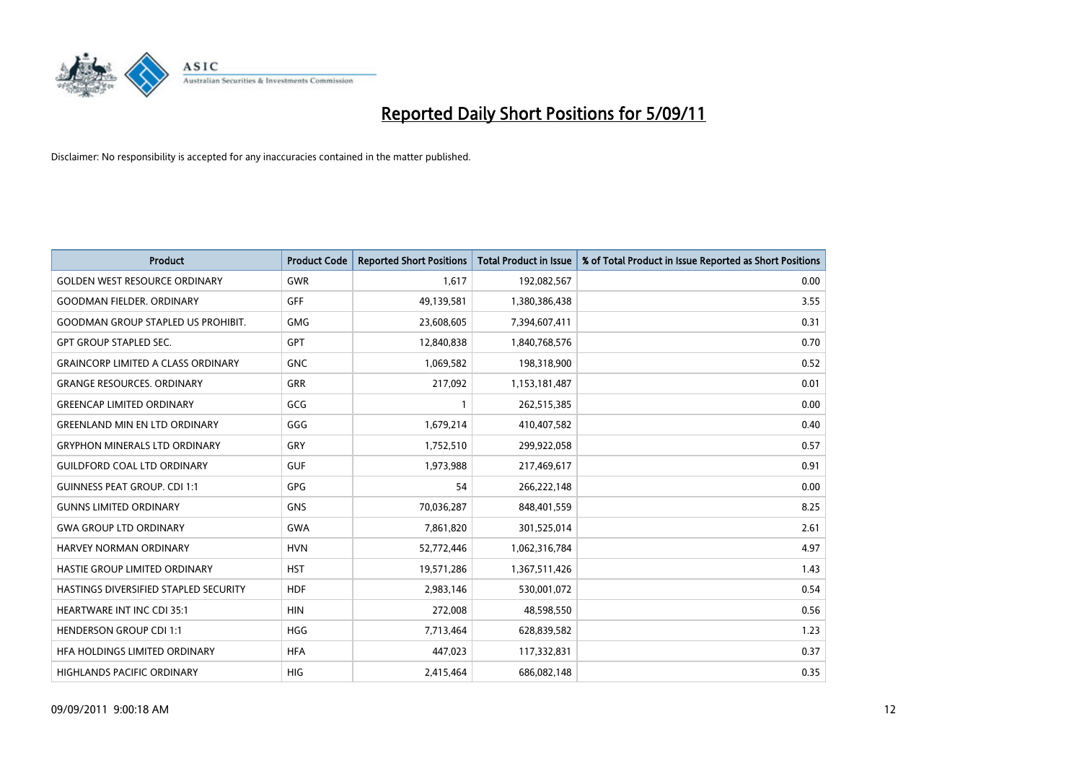

| Product                                   | <b>Product Code</b> | <b>Reported Short Positions</b> | <b>Total Product in Issue</b> | % of Total Product in Issue Reported as Short Positions |
|-------------------------------------------|---------------------|---------------------------------|-------------------------------|---------------------------------------------------------|
| <b>GOLDEN WEST RESOURCE ORDINARY</b>      | <b>GWR</b>          | 1,617                           | 192,082,567                   | 0.00                                                    |
| <b>GOODMAN FIELDER, ORDINARY</b>          | <b>GFF</b>          | 49,139,581                      | 1,380,386,438                 | 3.55                                                    |
| <b>GOODMAN GROUP STAPLED US PROHIBIT.</b> | <b>GMG</b>          | 23,608,605                      | 7,394,607,411                 | 0.31                                                    |
| <b>GPT GROUP STAPLED SEC.</b>             | <b>GPT</b>          | 12,840,838                      | 1,840,768,576                 | 0.70                                                    |
| <b>GRAINCORP LIMITED A CLASS ORDINARY</b> | <b>GNC</b>          | 1,069,582                       | 198,318,900                   | 0.52                                                    |
| <b>GRANGE RESOURCES, ORDINARY</b>         | <b>GRR</b>          | 217,092                         | 1,153,181,487                 | 0.01                                                    |
| <b>GREENCAP LIMITED ORDINARY</b>          | GCG                 |                                 | 262,515,385                   | 0.00                                                    |
| <b>GREENLAND MIN EN LTD ORDINARY</b>      | GGG                 | 1,679,214                       | 410,407,582                   | 0.40                                                    |
| <b>GRYPHON MINERALS LTD ORDINARY</b>      | GRY                 | 1,752,510                       | 299,922,058                   | 0.57                                                    |
| <b>GUILDFORD COAL LTD ORDINARY</b>        | <b>GUF</b>          | 1,973,988                       | 217,469,617                   | 0.91                                                    |
| <b>GUINNESS PEAT GROUP. CDI 1:1</b>       | <b>GPG</b>          | 54                              | 266,222,148                   | 0.00                                                    |
| <b>GUNNS LIMITED ORDINARY</b>             | <b>GNS</b>          | 70,036,287                      | 848,401,559                   | 8.25                                                    |
| <b>GWA GROUP LTD ORDINARY</b>             | <b>GWA</b>          | 7,861,820                       | 301,525,014                   | 2.61                                                    |
| HARVEY NORMAN ORDINARY                    | <b>HVN</b>          | 52,772,446                      | 1,062,316,784                 | 4.97                                                    |
| HASTIE GROUP LIMITED ORDINARY             | <b>HST</b>          | 19,571,286                      | 1,367,511,426                 | 1.43                                                    |
| HASTINGS DIVERSIFIED STAPLED SECURITY     | <b>HDF</b>          | 2,983,146                       | 530,001,072                   | 0.54                                                    |
| <b>HEARTWARE INT INC CDI 35:1</b>         | <b>HIN</b>          | 272,008                         | 48,598,550                    | 0.56                                                    |
| <b>HENDERSON GROUP CDI 1:1</b>            | <b>HGG</b>          | 7,713,464                       | 628,839,582                   | 1.23                                                    |
| HFA HOLDINGS LIMITED ORDINARY             | <b>HFA</b>          | 447,023                         | 117,332,831                   | 0.37                                                    |
| <b>HIGHLANDS PACIFIC ORDINARY</b>         | <b>HIG</b>          | 2,415,464                       | 686,082,148                   | 0.35                                                    |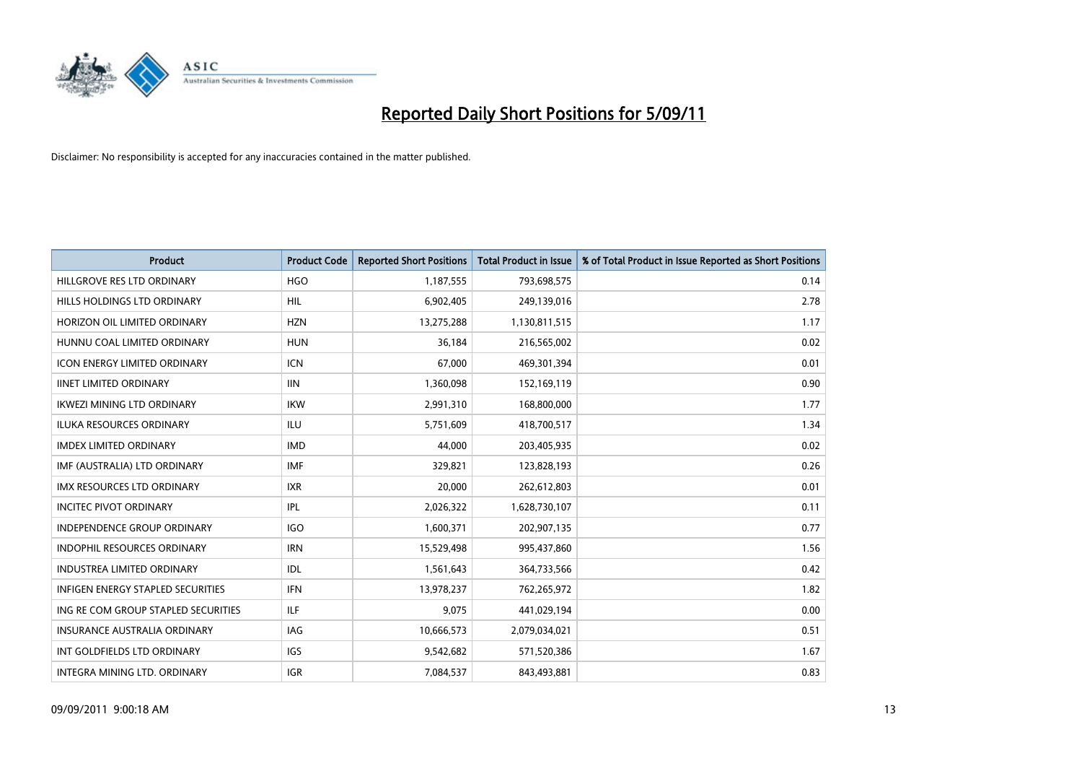

| <b>Product</b>                           | <b>Product Code</b> | <b>Reported Short Positions</b> | <b>Total Product in Issue</b> | % of Total Product in Issue Reported as Short Positions |
|------------------------------------------|---------------------|---------------------------------|-------------------------------|---------------------------------------------------------|
| HILLGROVE RES LTD ORDINARY               | <b>HGO</b>          | 1,187,555                       | 793,698,575                   | 0.14                                                    |
| HILLS HOLDINGS LTD ORDINARY              | <b>HIL</b>          | 6,902,405                       | 249,139,016                   | 2.78                                                    |
| HORIZON OIL LIMITED ORDINARY             | <b>HZN</b>          | 13,275,288                      | 1,130,811,515                 | 1.17                                                    |
| HUNNU COAL LIMITED ORDINARY              | <b>HUN</b>          | 36,184                          | 216,565,002                   | 0.02                                                    |
| <b>ICON ENERGY LIMITED ORDINARY</b>      | <b>ICN</b>          | 67,000                          | 469,301,394                   | 0.01                                                    |
| <b>IINET LIMITED ORDINARY</b>            | <b>IIN</b>          | 1,360,098                       | 152,169,119                   | 0.90                                                    |
| <b>IKWEZI MINING LTD ORDINARY</b>        | <b>IKW</b>          | 2,991,310                       | 168,800,000                   | 1.77                                                    |
| <b>ILUKA RESOURCES ORDINARY</b>          | <b>ILU</b>          | 5,751,609                       | 418,700,517                   | 1.34                                                    |
| <b>IMDEX LIMITED ORDINARY</b>            | <b>IMD</b>          | 44,000                          | 203,405,935                   | 0.02                                                    |
| IMF (AUSTRALIA) LTD ORDINARY             | <b>IMF</b>          | 329,821                         | 123,828,193                   | 0.26                                                    |
| <b>IMX RESOURCES LTD ORDINARY</b>        | <b>IXR</b>          | 20,000                          | 262,612,803                   | 0.01                                                    |
| <b>INCITEC PIVOT ORDINARY</b>            | <b>IPL</b>          | 2,026,322                       | 1,628,730,107                 | 0.11                                                    |
| INDEPENDENCE GROUP ORDINARY              | <b>IGO</b>          | 1,600,371                       | 202,907,135                   | 0.77                                                    |
| <b>INDOPHIL RESOURCES ORDINARY</b>       | <b>IRN</b>          | 15,529,498                      | 995,437,860                   | 1.56                                                    |
| <b>INDUSTREA LIMITED ORDINARY</b>        | <b>IDL</b>          | 1,561,643                       | 364,733,566                   | 0.42                                                    |
| <b>INFIGEN ENERGY STAPLED SECURITIES</b> | <b>IFN</b>          | 13,978,237                      | 762,265,972                   | 1.82                                                    |
| ING RE COM GROUP STAPLED SECURITIES      | <b>ILF</b>          | 9,075                           | 441,029,194                   | 0.00                                                    |
| INSURANCE AUSTRALIA ORDINARY             | IAG                 | 10,666,573                      | 2,079,034,021                 | 0.51                                                    |
| INT GOLDFIELDS LTD ORDINARY              | <b>IGS</b>          | 9,542,682                       | 571,520,386                   | 1.67                                                    |
| INTEGRA MINING LTD. ORDINARY             | <b>IGR</b>          | 7,084,537                       | 843,493,881                   | 0.83                                                    |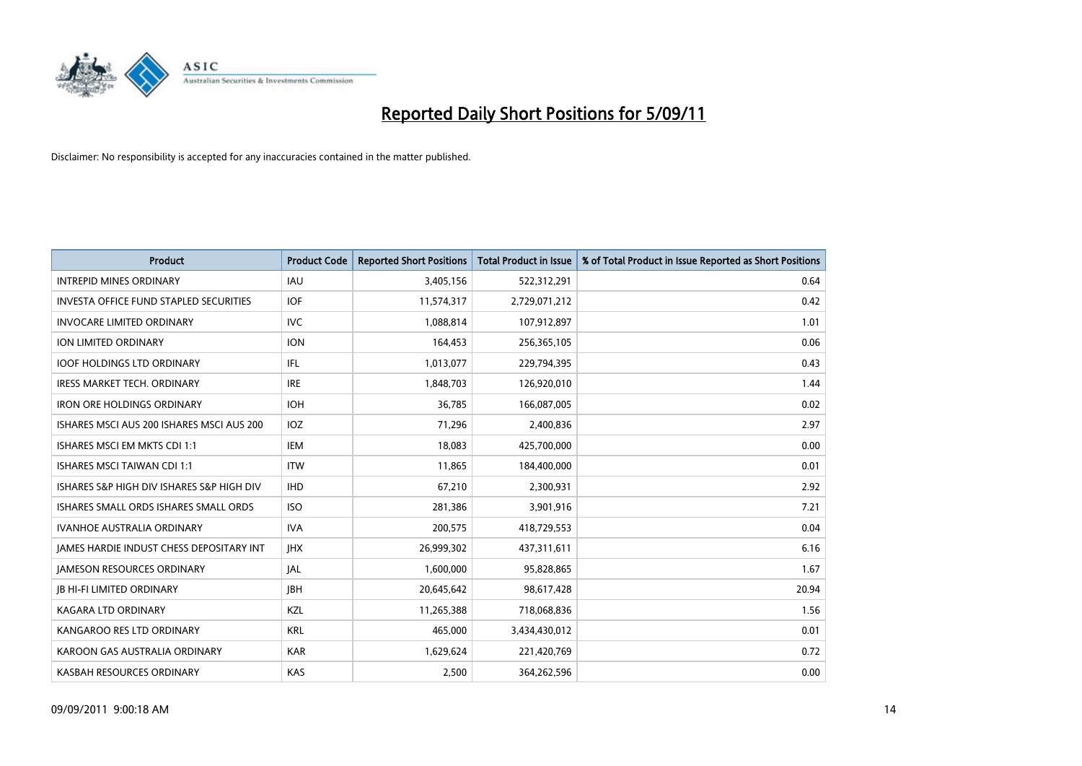

| Product                                       | <b>Product Code</b> | <b>Reported Short Positions</b> | <b>Total Product in Issue</b> | % of Total Product in Issue Reported as Short Positions |
|-----------------------------------------------|---------------------|---------------------------------|-------------------------------|---------------------------------------------------------|
| <b>INTREPID MINES ORDINARY</b>                | <b>IAU</b>          | 3,405,156                       | 522,312,291                   | 0.64                                                    |
| <b>INVESTA OFFICE FUND STAPLED SECURITIES</b> | <b>IOF</b>          | 11,574,317                      | 2,729,071,212                 | 0.42                                                    |
| <b>INVOCARE LIMITED ORDINARY</b>              | <b>IVC</b>          | 1,088,814                       | 107,912,897                   | 1.01                                                    |
| ION LIMITED ORDINARY                          | <b>ION</b>          | 164,453                         | 256,365,105                   | 0.06                                                    |
| <b>IOOF HOLDINGS LTD ORDINARY</b>             | <b>IFL</b>          | 1,013,077                       | 229,794,395                   | 0.43                                                    |
| <b>IRESS MARKET TECH. ORDINARY</b>            | <b>IRE</b>          | 1,848,703                       | 126,920,010                   | 1.44                                                    |
| <b>IRON ORE HOLDINGS ORDINARY</b>             | <b>IOH</b>          | 36,785                          | 166,087,005                   | 0.02                                                    |
| ISHARES MSCI AUS 200 ISHARES MSCI AUS 200     | IOZ                 | 71,296                          | 2,400,836                     | 2.97                                                    |
| ISHARES MSCI EM MKTS CDI 1:1                  | <b>IEM</b>          | 18,083                          | 425,700,000                   | 0.00                                                    |
| <b>ISHARES MSCI TAIWAN CDI 1:1</b>            | <b>ITW</b>          | 11,865                          | 184,400,000                   | 0.01                                                    |
| ISHARES S&P HIGH DIV ISHARES S&P HIGH DIV     | <b>IHD</b>          | 67,210                          | 2,300,931                     | 2.92                                                    |
| ISHARES SMALL ORDS ISHARES SMALL ORDS         | <b>ISO</b>          | 281,386                         | 3,901,916                     | 7.21                                                    |
| <b>IVANHOE AUSTRALIA ORDINARY</b>             | <b>IVA</b>          | 200,575                         | 418,729,553                   | 0.04                                                    |
| JAMES HARDIE INDUST CHESS DEPOSITARY INT      | <b>IHX</b>          | 26,999,302                      | 437,311,611                   | 6.16                                                    |
| <b>JAMESON RESOURCES ORDINARY</b>             | <b>JAL</b>          | 1,600,000                       | 95,828,865                    | 1.67                                                    |
| <b>JB HI-FI LIMITED ORDINARY</b>              | <b>IBH</b>          | 20,645,642                      | 98,617,428                    | 20.94                                                   |
| <b>KAGARA LTD ORDINARY</b>                    | KZL                 | 11,265,388                      | 718,068,836                   | 1.56                                                    |
| KANGAROO RES LTD ORDINARY                     | <b>KRL</b>          | 465,000                         | 3,434,430,012                 | 0.01                                                    |
| KAROON GAS AUSTRALIA ORDINARY                 | <b>KAR</b>          | 1,629,624                       | 221,420,769                   | 0.72                                                    |
| KASBAH RESOURCES ORDINARY                     | <b>KAS</b>          | 2,500                           | 364,262,596                   | 0.00                                                    |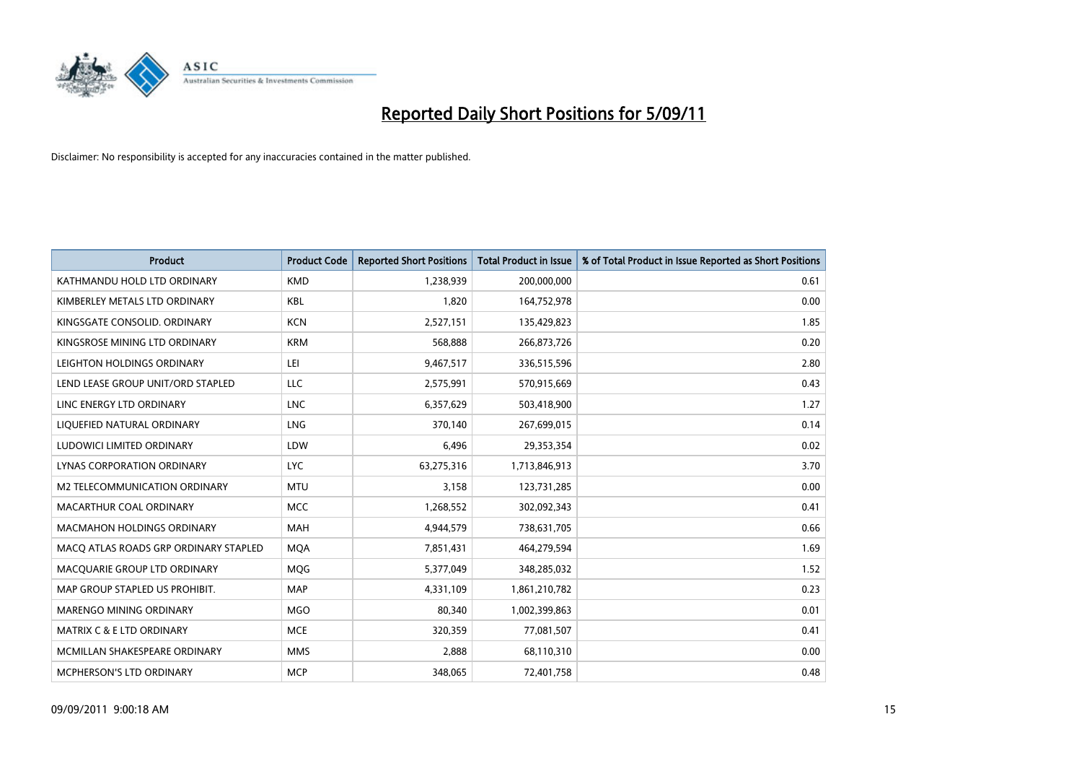

| <b>Product</b>                        | <b>Product Code</b> | <b>Reported Short Positions</b> | Total Product in Issue | % of Total Product in Issue Reported as Short Positions |
|---------------------------------------|---------------------|---------------------------------|------------------------|---------------------------------------------------------|
| KATHMANDU HOLD LTD ORDINARY           | <b>KMD</b>          | 1,238,939                       | 200,000,000            | 0.61                                                    |
| KIMBERLEY METALS LTD ORDINARY         | <b>KBL</b>          | 1,820                           | 164,752,978            | 0.00                                                    |
| KINGSGATE CONSOLID. ORDINARY          | <b>KCN</b>          | 2,527,151                       | 135,429,823            | 1.85                                                    |
| KINGSROSE MINING LTD ORDINARY         | <b>KRM</b>          | 568,888                         | 266,873,726            | 0.20                                                    |
| LEIGHTON HOLDINGS ORDINARY            | LEI                 | 9,467,517                       | 336,515,596            | 2.80                                                    |
| LEND LEASE GROUP UNIT/ORD STAPLED     | <b>LLC</b>          | 2,575,991                       | 570,915,669            | 0.43                                                    |
| LINC ENERGY LTD ORDINARY              | <b>LNC</b>          | 6,357,629                       | 503,418,900            | 1.27                                                    |
| LIQUEFIED NATURAL ORDINARY            | <b>LNG</b>          | 370,140                         | 267,699,015            | 0.14                                                    |
| LUDOWICI LIMITED ORDINARY             | LDW                 | 6,496                           | 29,353,354             | 0.02                                                    |
| LYNAS CORPORATION ORDINARY            | <b>LYC</b>          | 63,275,316                      | 1,713,846,913          | 3.70                                                    |
| M2 TELECOMMUNICATION ORDINARY         | <b>MTU</b>          | 3,158                           | 123,731,285            | 0.00                                                    |
| MACARTHUR COAL ORDINARY               | <b>MCC</b>          | 1,268,552                       | 302,092,343            | 0.41                                                    |
| <b>MACMAHON HOLDINGS ORDINARY</b>     | <b>MAH</b>          | 4,944,579                       | 738,631,705            | 0.66                                                    |
| MACO ATLAS ROADS GRP ORDINARY STAPLED | <b>MOA</b>          | 7,851,431                       | 464,279,594            | 1.69                                                    |
| MACQUARIE GROUP LTD ORDINARY          | MQG                 | 5,377,049                       | 348,285,032            | 1.52                                                    |
| MAP GROUP STAPLED US PROHIBIT.        | <b>MAP</b>          | 4,331,109                       | 1,861,210,782          | 0.23                                                    |
| <b>MARENGO MINING ORDINARY</b>        | <b>MGO</b>          | 80,340                          | 1,002,399,863          | 0.01                                                    |
| MATRIX C & E LTD ORDINARY             | <b>MCE</b>          | 320,359                         | 77,081,507             | 0.41                                                    |
| MCMILLAN SHAKESPEARE ORDINARY         | <b>MMS</b>          | 2,888                           | 68,110,310             | 0.00                                                    |
| <b>MCPHERSON'S LTD ORDINARY</b>       | <b>MCP</b>          | 348.065                         | 72,401,758             | 0.48                                                    |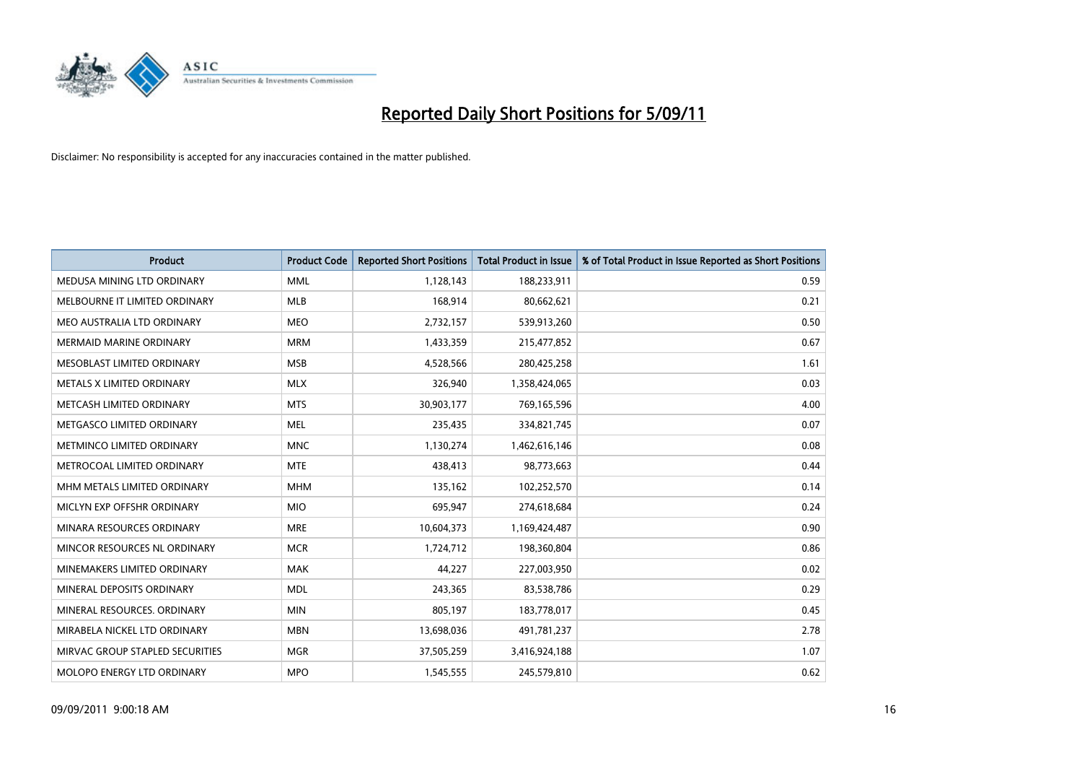

| Product                           | <b>Product Code</b> | <b>Reported Short Positions</b> | <b>Total Product in Issue</b> | % of Total Product in Issue Reported as Short Positions |
|-----------------------------------|---------------------|---------------------------------|-------------------------------|---------------------------------------------------------|
| MEDUSA MINING LTD ORDINARY        | <b>MML</b>          | 1,128,143                       | 188,233,911                   | 0.59                                                    |
| MELBOURNE IT LIMITED ORDINARY     | MLB                 | 168,914                         | 80,662,621                    | 0.21                                                    |
| MEO AUSTRALIA LTD ORDINARY        | <b>MEO</b>          | 2,732,157                       | 539,913,260                   | 0.50                                                    |
| MERMAID MARINE ORDINARY           | <b>MRM</b>          | 1,433,359                       | 215,477,852                   | 0.67                                                    |
| MESOBLAST LIMITED ORDINARY        | <b>MSB</b>          | 4,528,566                       | 280,425,258                   | 1.61                                                    |
| METALS X LIMITED ORDINARY         | <b>MLX</b>          | 326,940                         | 1,358,424,065                 | 0.03                                                    |
| METCASH LIMITED ORDINARY          | <b>MTS</b>          | 30,903,177                      | 769,165,596                   | 4.00                                                    |
| METGASCO LIMITED ORDINARY         | <b>MEL</b>          | 235,435                         | 334,821,745                   | 0.07                                                    |
| METMINCO LIMITED ORDINARY         | <b>MNC</b>          | 1,130,274                       | 1,462,616,146                 | 0.08                                                    |
| METROCOAL LIMITED ORDINARY        | <b>MTE</b>          | 438,413                         | 98,773,663                    | 0.44                                                    |
| MHM METALS LIMITED ORDINARY       | <b>MHM</b>          | 135,162                         | 102,252,570                   | 0.14                                                    |
| MICLYN EXP OFFSHR ORDINARY        | <b>MIO</b>          | 695,947                         | 274,618,684                   | 0.24                                                    |
| MINARA RESOURCES ORDINARY         | <b>MRE</b>          | 10,604,373                      | 1,169,424,487                 | 0.90                                                    |
| MINCOR RESOURCES NL ORDINARY      | <b>MCR</b>          | 1,724,712                       | 198,360,804                   | 0.86                                                    |
| MINEMAKERS LIMITED ORDINARY       | <b>MAK</b>          | 44,227                          | 227,003,950                   | 0.02                                                    |
| MINERAL DEPOSITS ORDINARY         | <b>MDL</b>          | 243,365                         | 83,538,786                    | 0.29                                                    |
| MINERAL RESOURCES, ORDINARY       | <b>MIN</b>          | 805,197                         | 183,778,017                   | 0.45                                                    |
| MIRABELA NICKEL LTD ORDINARY      | <b>MBN</b>          | 13,698,036                      | 491,781,237                   | 2.78                                                    |
| MIRVAC GROUP STAPLED SECURITIES   | <b>MGR</b>          | 37,505,259                      | 3,416,924,188                 | 1.07                                                    |
| <b>MOLOPO ENERGY LTD ORDINARY</b> | <b>MPO</b>          | 1,545,555                       | 245,579,810                   | 0.62                                                    |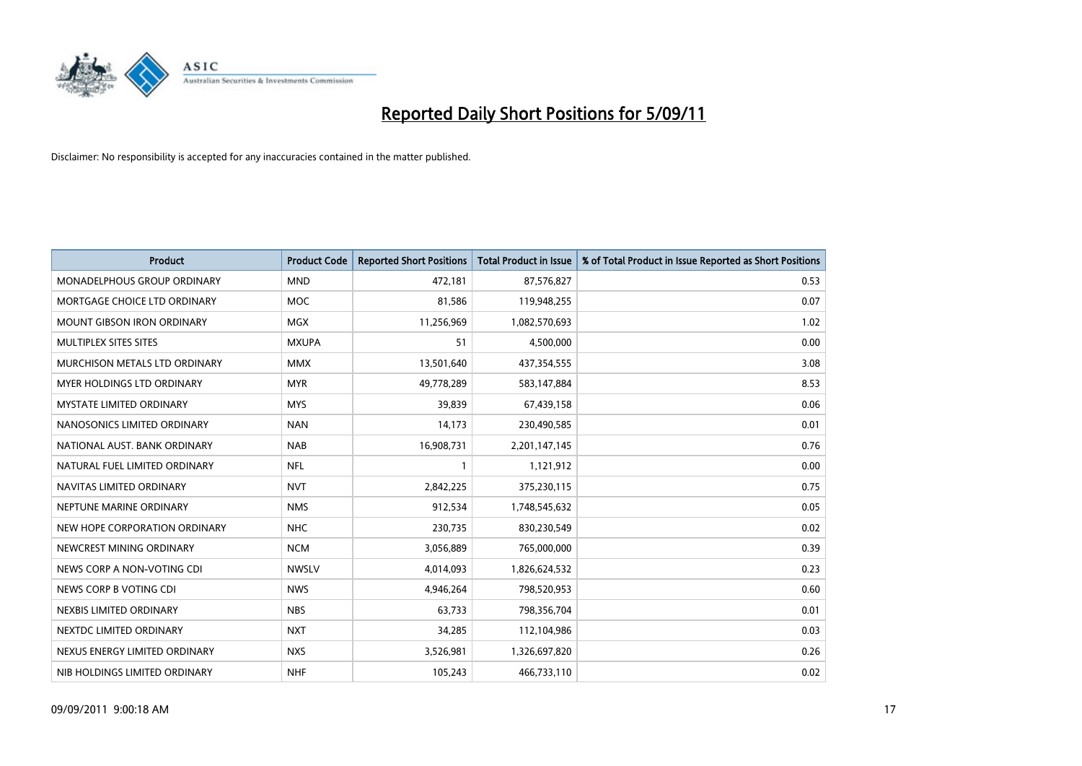

| <b>Product</b>                    | <b>Product Code</b> | <b>Reported Short Positions</b> | <b>Total Product in Issue</b> | % of Total Product in Issue Reported as Short Positions |
|-----------------------------------|---------------------|---------------------------------|-------------------------------|---------------------------------------------------------|
| MONADELPHOUS GROUP ORDINARY       | <b>MND</b>          | 472,181                         | 87,576,827                    | 0.53                                                    |
| MORTGAGE CHOICE LTD ORDINARY      | <b>MOC</b>          | 81,586                          | 119,948,255                   | 0.07                                                    |
| <b>MOUNT GIBSON IRON ORDINARY</b> | <b>MGX</b>          | 11,256,969                      | 1,082,570,693                 | 1.02                                                    |
| MULTIPLEX SITES SITES             | <b>MXUPA</b>        | 51                              | 4,500,000                     | 0.00                                                    |
| MURCHISON METALS LTD ORDINARY     | <b>MMX</b>          | 13,501,640                      | 437,354,555                   | 3.08                                                    |
| MYER HOLDINGS LTD ORDINARY        | <b>MYR</b>          | 49,778,289                      | 583,147,884                   | 8.53                                                    |
| <b>MYSTATE LIMITED ORDINARY</b>   | <b>MYS</b>          | 39,839                          | 67,439,158                    | 0.06                                                    |
| NANOSONICS LIMITED ORDINARY       | <b>NAN</b>          | 14,173                          | 230,490,585                   | 0.01                                                    |
| NATIONAL AUST. BANK ORDINARY      | <b>NAB</b>          | 16,908,731                      | 2,201,147,145                 | 0.76                                                    |
| NATURAL FUEL LIMITED ORDINARY     | <b>NFL</b>          |                                 | 1,121,912                     | 0.00                                                    |
| NAVITAS LIMITED ORDINARY          | <b>NVT</b>          | 2,842,225                       | 375,230,115                   | 0.75                                                    |
| NEPTUNE MARINE ORDINARY           | <b>NMS</b>          | 912,534                         | 1,748,545,632                 | 0.05                                                    |
| NEW HOPE CORPORATION ORDINARY     | <b>NHC</b>          | 230,735                         | 830,230,549                   | 0.02                                                    |
| NEWCREST MINING ORDINARY          | <b>NCM</b>          | 3,056,889                       | 765,000,000                   | 0.39                                                    |
| NEWS CORP A NON-VOTING CDI        | <b>NWSLV</b>        | 4,014,093                       | 1,826,624,532                 | 0.23                                                    |
| NEWS CORP B VOTING CDI            | <b>NWS</b>          | 4,946,264                       | 798,520,953                   | 0.60                                                    |
| NEXBIS LIMITED ORDINARY           | <b>NBS</b>          | 63,733                          | 798,356,704                   | 0.01                                                    |
| NEXTDC LIMITED ORDINARY           | <b>NXT</b>          | 34,285                          | 112,104,986                   | 0.03                                                    |
| NEXUS ENERGY LIMITED ORDINARY     | <b>NXS</b>          | 3,526,981                       | 1,326,697,820                 | 0.26                                                    |
| NIB HOLDINGS LIMITED ORDINARY     | <b>NHF</b>          | 105,243                         | 466,733,110                   | 0.02                                                    |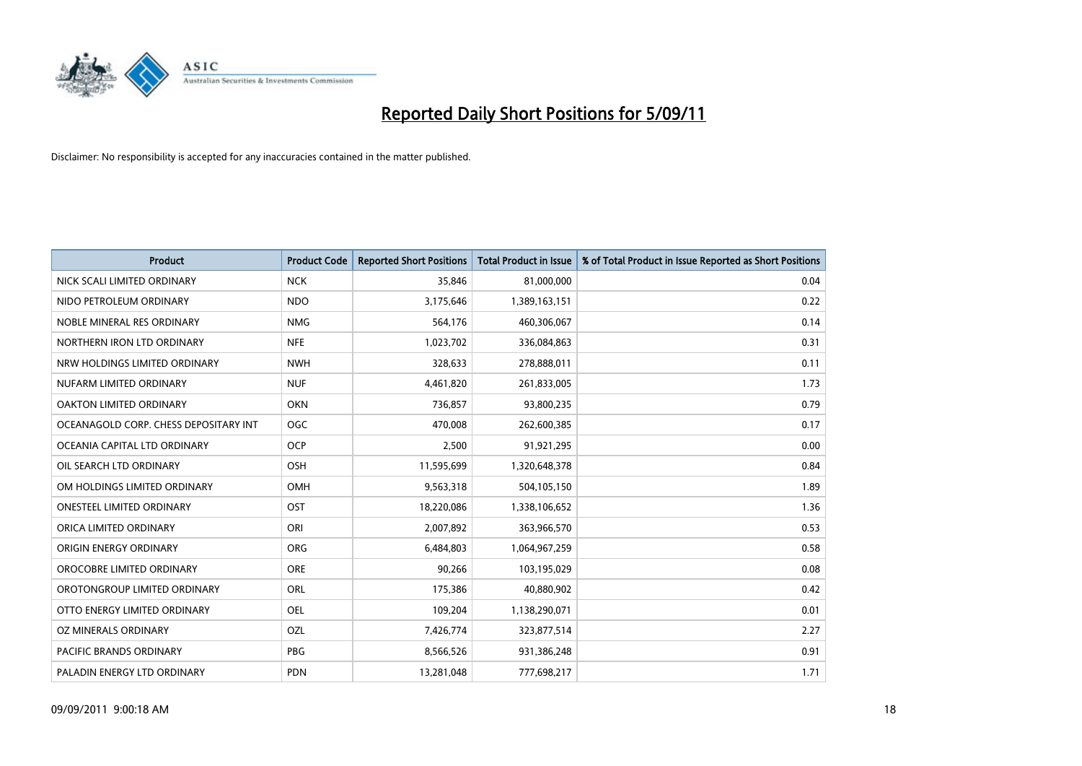

| <b>Product</b>                        | <b>Product Code</b> | <b>Reported Short Positions</b> | Total Product in Issue | % of Total Product in Issue Reported as Short Positions |
|---------------------------------------|---------------------|---------------------------------|------------------------|---------------------------------------------------------|
| NICK SCALI LIMITED ORDINARY           | <b>NCK</b>          | 35,846                          | 81,000,000             | 0.04                                                    |
| NIDO PETROLEUM ORDINARY               | <b>NDO</b>          | 3,175,646                       | 1,389,163,151          | 0.22                                                    |
| NOBLE MINERAL RES ORDINARY            | <b>NMG</b>          | 564,176                         | 460,306,067            | 0.14                                                    |
| NORTHERN IRON LTD ORDINARY            | <b>NFE</b>          | 1,023,702                       | 336,084,863            | 0.31                                                    |
| NRW HOLDINGS LIMITED ORDINARY         | <b>NWH</b>          | 328,633                         | 278,888,011            | 0.11                                                    |
| NUFARM LIMITED ORDINARY               | <b>NUF</b>          | 4,461,820                       | 261,833,005            | 1.73                                                    |
| OAKTON LIMITED ORDINARY               | <b>OKN</b>          | 736,857                         | 93,800,235             | 0.79                                                    |
| OCEANAGOLD CORP. CHESS DEPOSITARY INT | <b>OGC</b>          | 470,008                         | 262,600,385            | 0.17                                                    |
| OCEANIA CAPITAL LTD ORDINARY          | <b>OCP</b>          | 2,500                           | 91,921,295             | 0.00                                                    |
| OIL SEARCH LTD ORDINARY               | OSH                 | 11,595,699                      | 1,320,648,378          | 0.84                                                    |
| OM HOLDINGS LIMITED ORDINARY          | <b>OMH</b>          | 9,563,318                       | 504,105,150            | 1.89                                                    |
| <b>ONESTEEL LIMITED ORDINARY</b>      | OST                 | 18,220,086                      | 1,338,106,652          | 1.36                                                    |
| ORICA LIMITED ORDINARY                | ORI                 | 2,007,892                       | 363,966,570            | 0.53                                                    |
| ORIGIN ENERGY ORDINARY                | <b>ORG</b>          | 6,484,803                       | 1,064,967,259          | 0.58                                                    |
| OROCOBRE LIMITED ORDINARY             | <b>ORE</b>          | 90,266                          | 103,195,029            | 0.08                                                    |
| OROTONGROUP LIMITED ORDINARY          | ORL                 | 175,386                         | 40,880,902             | 0.42                                                    |
| OTTO ENERGY LIMITED ORDINARY          | <b>OEL</b>          | 109,204                         | 1,138,290,071          | 0.01                                                    |
| OZ MINERALS ORDINARY                  | OZL                 | 7,426,774                       | 323,877,514            | 2.27                                                    |
| <b>PACIFIC BRANDS ORDINARY</b>        | <b>PBG</b>          | 8,566,526                       | 931,386,248            | 0.91                                                    |
| PALADIN ENERGY LTD ORDINARY           | <b>PDN</b>          | 13,281,048                      | 777,698,217            | 1.71                                                    |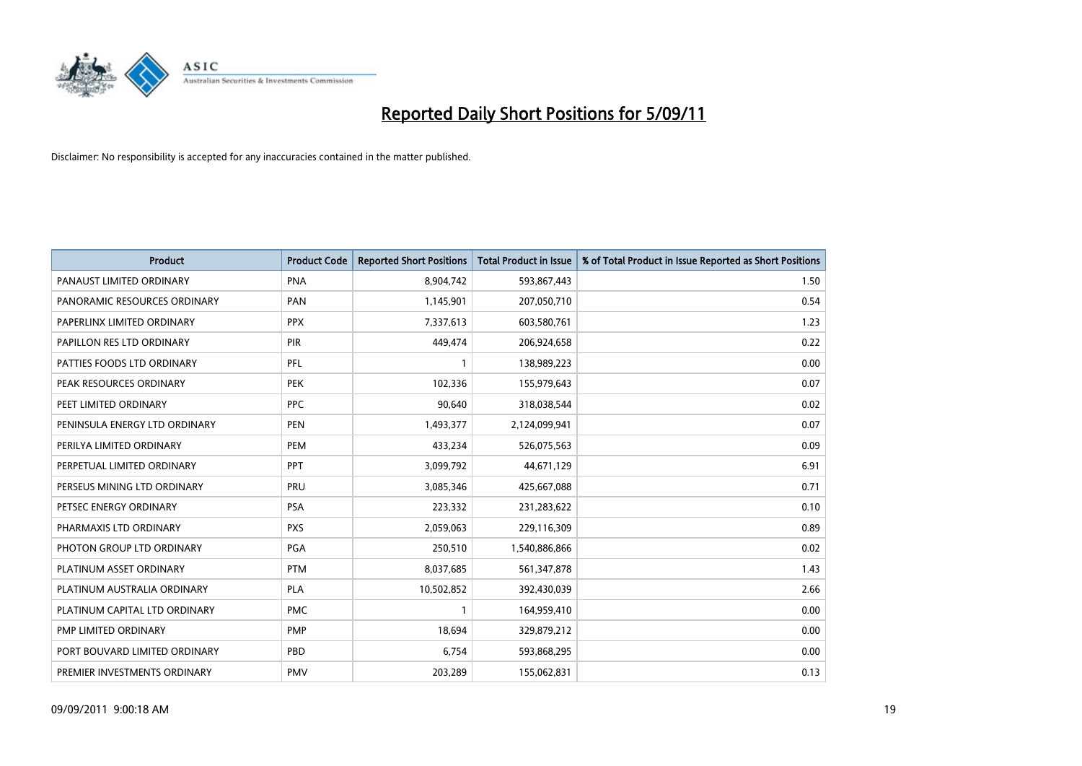

| Product                       | <b>Product Code</b> | <b>Reported Short Positions</b> | Total Product in Issue | % of Total Product in Issue Reported as Short Positions |
|-------------------------------|---------------------|---------------------------------|------------------------|---------------------------------------------------------|
| PANAUST LIMITED ORDINARY      | <b>PNA</b>          | 8,904,742                       | 593,867,443            | 1.50                                                    |
| PANORAMIC RESOURCES ORDINARY  | PAN                 | 1,145,901                       | 207,050,710            | 0.54                                                    |
| PAPERLINX LIMITED ORDINARY    | <b>PPX</b>          | 7,337,613                       | 603,580,761            | 1.23                                                    |
| PAPILLON RES LTD ORDINARY     | PIR                 | 449,474                         | 206,924,658            | 0.22                                                    |
| PATTIES FOODS LTD ORDINARY    | PFL                 |                                 | 138,989,223            | 0.00                                                    |
| PEAK RESOURCES ORDINARY       | <b>PEK</b>          | 102,336                         | 155,979,643            | 0.07                                                    |
| PEET LIMITED ORDINARY         | <b>PPC</b>          | 90.640                          | 318,038,544            | 0.02                                                    |
| PENINSULA ENERGY LTD ORDINARY | <b>PEN</b>          | 1,493,377                       | 2,124,099,941          | 0.07                                                    |
| PERILYA LIMITED ORDINARY      | PEM                 | 433,234                         | 526,075,563            | 0.09                                                    |
| PERPETUAL LIMITED ORDINARY    | PPT                 | 3,099,792                       | 44,671,129             | 6.91                                                    |
| PERSEUS MINING LTD ORDINARY   | PRU                 | 3,085,346                       | 425,667,088            | 0.71                                                    |
| PETSEC ENERGY ORDINARY        | PSA                 | 223,332                         | 231,283,622            | 0.10                                                    |
| PHARMAXIS LTD ORDINARY        | <b>PXS</b>          | 2,059,063                       | 229,116,309            | 0.89                                                    |
| PHOTON GROUP LTD ORDINARY     | PGA                 | 250,510                         | 1,540,886,866          | 0.02                                                    |
| PLATINUM ASSET ORDINARY       | <b>PTM</b>          | 8,037,685                       | 561,347,878            | 1.43                                                    |
| PLATINUM AUSTRALIA ORDINARY   | <b>PLA</b>          | 10,502,852                      | 392,430,039            | 2.66                                                    |
| PLATINUM CAPITAL LTD ORDINARY | <b>PMC</b>          |                                 | 164,959,410            | 0.00                                                    |
| PMP LIMITED ORDINARY          | <b>PMP</b>          | 18,694                          | 329,879,212            | 0.00                                                    |
| PORT BOUVARD LIMITED ORDINARY | PBD                 | 6,754                           | 593,868,295            | 0.00                                                    |
| PREMIER INVESTMENTS ORDINARY  | <b>PMV</b>          | 203,289                         | 155,062,831            | 0.13                                                    |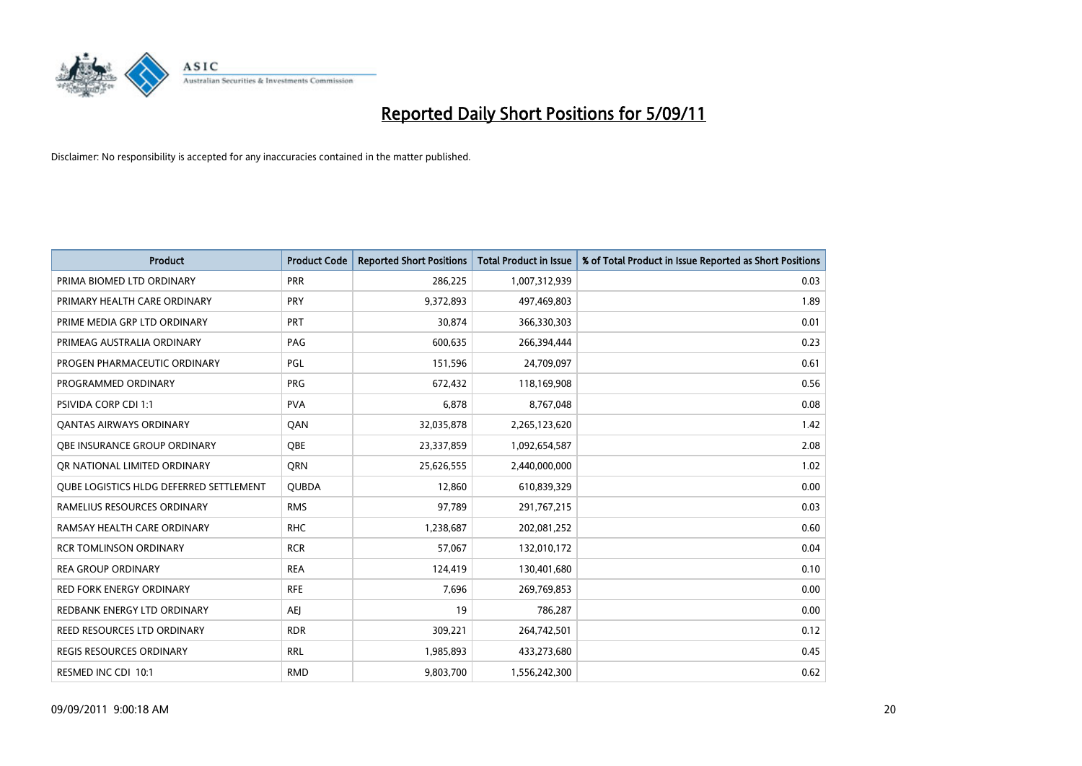

| <b>Product</b>                          | <b>Product Code</b> | <b>Reported Short Positions</b> | <b>Total Product in Issue</b> | % of Total Product in Issue Reported as Short Positions |
|-----------------------------------------|---------------------|---------------------------------|-------------------------------|---------------------------------------------------------|
| PRIMA BIOMED LTD ORDINARY               | <b>PRR</b>          | 286,225                         | 1,007,312,939                 | 0.03                                                    |
| PRIMARY HEALTH CARE ORDINARY            | <b>PRY</b>          | 9,372,893                       | 497,469,803                   | 1.89                                                    |
| PRIME MEDIA GRP LTD ORDINARY            | <b>PRT</b>          | 30,874                          | 366,330,303                   | 0.01                                                    |
| PRIMEAG AUSTRALIA ORDINARY              | PAG                 | 600,635                         | 266,394,444                   | 0.23                                                    |
| PROGEN PHARMACEUTIC ORDINARY            | PGL                 | 151,596                         | 24,709,097                    | 0.61                                                    |
| PROGRAMMED ORDINARY                     | <b>PRG</b>          | 672,432                         | 118,169,908                   | 0.56                                                    |
| <b>PSIVIDA CORP CDI 1:1</b>             | <b>PVA</b>          | 6,878                           | 8,767,048                     | 0.08                                                    |
| <b>QANTAS AIRWAYS ORDINARY</b>          | QAN                 | 32,035,878                      | 2,265,123,620                 | 1.42                                                    |
| <b>OBE INSURANCE GROUP ORDINARY</b>     | <b>OBE</b>          | 23,337,859                      | 1,092,654,587                 | 2.08                                                    |
| OR NATIONAL LIMITED ORDINARY            | <b>ORN</b>          | 25,626,555                      | 2,440,000,000                 | 1.02                                                    |
| QUBE LOGISTICS HLDG DEFERRED SETTLEMENT | <b>QUBDA</b>        | 12,860                          | 610,839,329                   | 0.00                                                    |
| RAMELIUS RESOURCES ORDINARY             | <b>RMS</b>          | 97,789                          | 291,767,215                   | 0.03                                                    |
| RAMSAY HEALTH CARE ORDINARY             | <b>RHC</b>          | 1,238,687                       | 202,081,252                   | 0.60                                                    |
| <b>RCR TOMLINSON ORDINARY</b>           | <b>RCR</b>          | 57.067                          | 132,010,172                   | 0.04                                                    |
| <b>REA GROUP ORDINARY</b>               | <b>REA</b>          | 124,419                         | 130,401,680                   | 0.10                                                    |
| <b>RED FORK ENERGY ORDINARY</b>         | <b>RFE</b>          | 7,696                           | 269,769,853                   | 0.00                                                    |
| REDBANK ENERGY LTD ORDINARY             | <b>AEJ</b>          | 19                              | 786,287                       | 0.00                                                    |
| REED RESOURCES LTD ORDINARY             | <b>RDR</b>          | 309,221                         | 264,742,501                   | 0.12                                                    |
| <b>REGIS RESOURCES ORDINARY</b>         | <b>RRL</b>          | 1,985,893                       | 433,273,680                   | 0.45                                                    |
| RESMED INC CDI 10:1                     | <b>RMD</b>          | 9,803,700                       | 1,556,242,300                 | 0.62                                                    |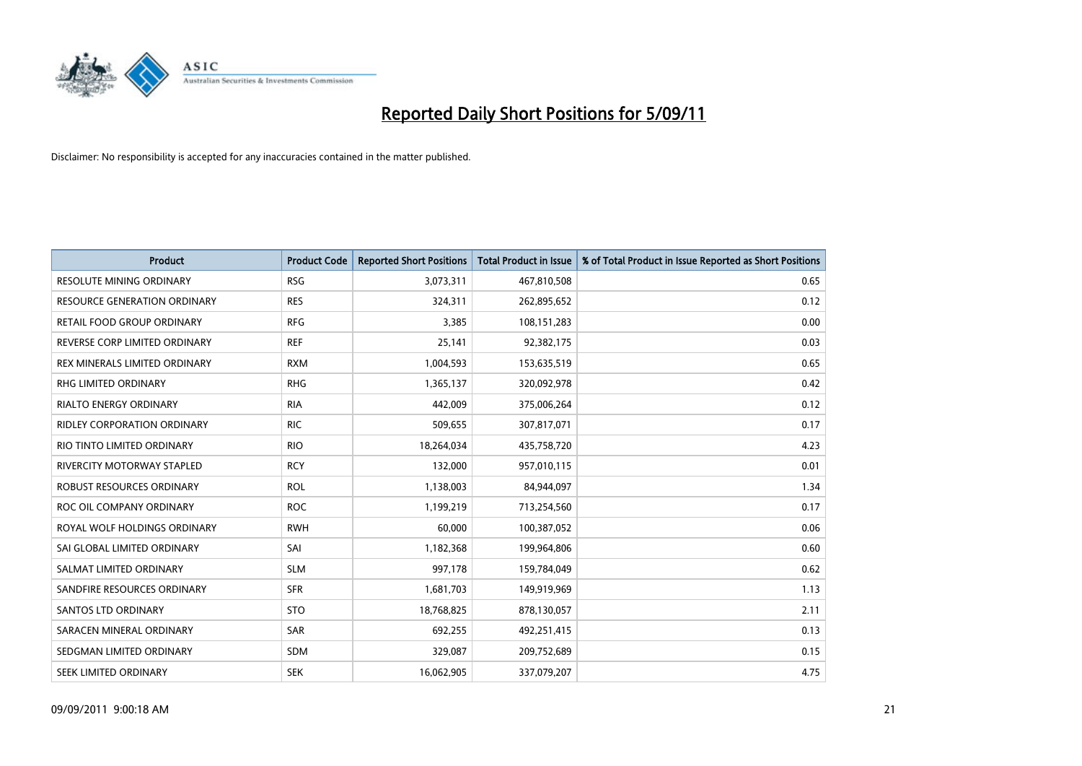

| <b>Product</b>                     | <b>Product Code</b> | <b>Reported Short Positions</b> | <b>Total Product in Issue</b> | % of Total Product in Issue Reported as Short Positions |
|------------------------------------|---------------------|---------------------------------|-------------------------------|---------------------------------------------------------|
| <b>RESOLUTE MINING ORDINARY</b>    | <b>RSG</b>          | 3,073,311                       | 467,810,508                   | 0.65                                                    |
| RESOURCE GENERATION ORDINARY       | <b>RES</b>          | 324,311                         | 262,895,652                   | 0.12                                                    |
| RETAIL FOOD GROUP ORDINARY         | <b>RFG</b>          | 3,385                           | 108,151,283                   | 0.00                                                    |
| REVERSE CORP LIMITED ORDINARY      | <b>REF</b>          | 25,141                          | 92,382,175                    | 0.03                                                    |
| REX MINERALS LIMITED ORDINARY      | <b>RXM</b>          | 1,004,593                       | 153,635,519                   | 0.65                                                    |
| <b>RHG LIMITED ORDINARY</b>        | <b>RHG</b>          | 1,365,137                       | 320,092,978                   | 0.42                                                    |
| <b>RIALTO ENERGY ORDINARY</b>      | <b>RIA</b>          | 442,009                         | 375,006,264                   | 0.12                                                    |
| <b>RIDLEY CORPORATION ORDINARY</b> | <b>RIC</b>          | 509,655                         | 307,817,071                   | 0.17                                                    |
| RIO TINTO LIMITED ORDINARY         | <b>RIO</b>          | 18,264,034                      | 435,758,720                   | 4.23                                                    |
| RIVERCITY MOTORWAY STAPLED         | <b>RCY</b>          | 132,000                         | 957,010,115                   | 0.01                                                    |
| ROBUST RESOURCES ORDINARY          | <b>ROL</b>          | 1,138,003                       | 84,944,097                    | 1.34                                                    |
| ROC OIL COMPANY ORDINARY           | <b>ROC</b>          | 1,199,219                       | 713,254,560                   | 0.17                                                    |
| ROYAL WOLF HOLDINGS ORDINARY       | <b>RWH</b>          | 60,000                          | 100,387,052                   | 0.06                                                    |
| SAI GLOBAL LIMITED ORDINARY        | SAI                 | 1,182,368                       | 199,964,806                   | 0.60                                                    |
| SALMAT LIMITED ORDINARY            | <b>SLM</b>          | 997,178                         | 159,784,049                   | 0.62                                                    |
| SANDFIRE RESOURCES ORDINARY        | <b>SFR</b>          | 1,681,703                       | 149,919,969                   | 1.13                                                    |
| <b>SANTOS LTD ORDINARY</b>         | <b>STO</b>          | 18,768,825                      | 878,130,057                   | 2.11                                                    |
| SARACEN MINERAL ORDINARY           | SAR                 | 692,255                         | 492,251,415                   | 0.13                                                    |
| SEDGMAN LIMITED ORDINARY           | <b>SDM</b>          | 329,087                         | 209,752,689                   | 0.15                                                    |
| SEEK LIMITED ORDINARY              | <b>SEK</b>          | 16,062,905                      | 337,079,207                   | 4.75                                                    |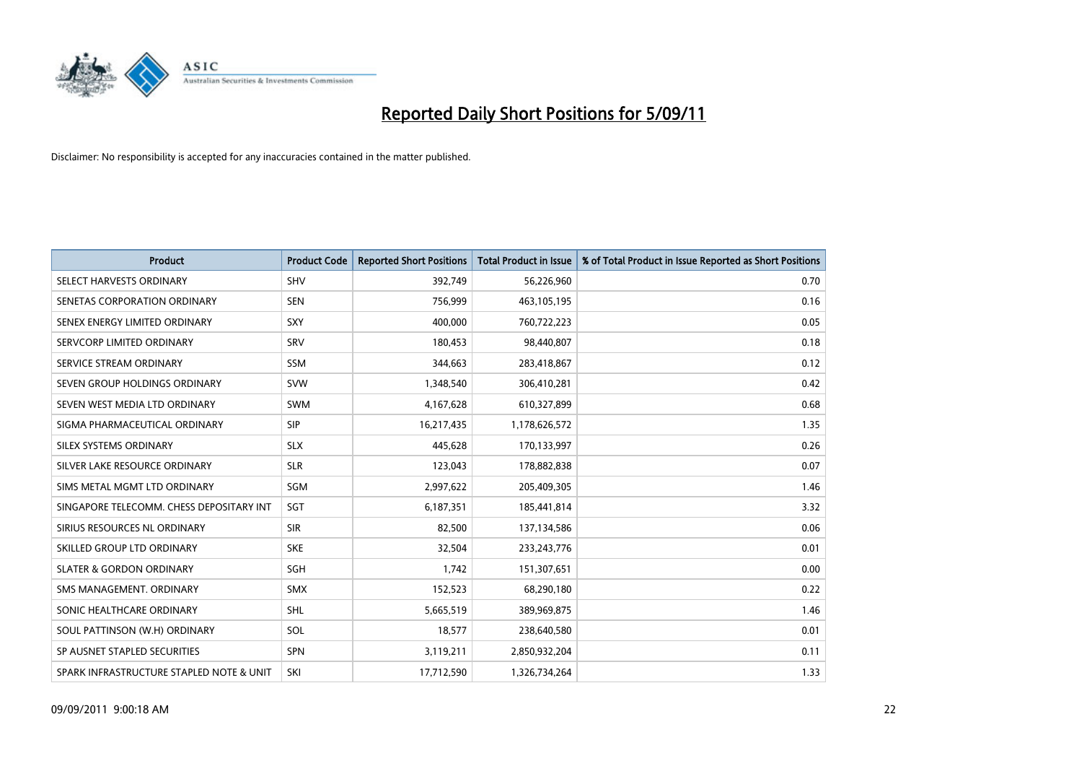

| <b>Product</b>                           | <b>Product Code</b> | <b>Reported Short Positions</b> | Total Product in Issue | % of Total Product in Issue Reported as Short Positions |
|------------------------------------------|---------------------|---------------------------------|------------------------|---------------------------------------------------------|
| SELECT HARVESTS ORDINARY                 | <b>SHV</b>          | 392,749                         | 56,226,960             | 0.70                                                    |
| SENETAS CORPORATION ORDINARY             | <b>SEN</b>          | 756,999                         | 463,105,195            | 0.16                                                    |
| SENEX ENERGY LIMITED ORDINARY            | SXY                 | 400,000                         | 760,722,223            | 0.05                                                    |
| SERVCORP LIMITED ORDINARY                | SRV                 | 180,453                         | 98,440,807             | 0.18                                                    |
| SERVICE STREAM ORDINARY                  | <b>SSM</b>          | 344,663                         | 283,418,867            | 0.12                                                    |
| SEVEN GROUP HOLDINGS ORDINARY            | <b>SVW</b>          | 1,348,540                       | 306,410,281            | 0.42                                                    |
| SEVEN WEST MEDIA LTD ORDINARY            | <b>SWM</b>          | 4,167,628                       | 610,327,899            | 0.68                                                    |
| SIGMA PHARMACEUTICAL ORDINARY            | <b>SIP</b>          | 16,217,435                      | 1,178,626,572          | 1.35                                                    |
| SILEX SYSTEMS ORDINARY                   | <b>SLX</b>          | 445,628                         | 170,133,997            | 0.26                                                    |
| SILVER LAKE RESOURCE ORDINARY            | <b>SLR</b>          | 123,043                         | 178,882,838            | 0.07                                                    |
| SIMS METAL MGMT LTD ORDINARY             | <b>SGM</b>          | 2,997,622                       | 205,409,305            | 1.46                                                    |
| SINGAPORE TELECOMM. CHESS DEPOSITARY INT | SGT                 | 6,187,351                       | 185,441,814            | 3.32                                                    |
| SIRIUS RESOURCES NL ORDINARY             | <b>SIR</b>          | 82,500                          | 137,134,586            | 0.06                                                    |
| SKILLED GROUP LTD ORDINARY               | <b>SKE</b>          | 32,504                          | 233, 243, 776          | 0.01                                                    |
| <b>SLATER &amp; GORDON ORDINARY</b>      | SGH                 | 1,742                           | 151,307,651            | 0.00                                                    |
| SMS MANAGEMENT, ORDINARY                 | <b>SMX</b>          | 152,523                         | 68,290,180             | 0.22                                                    |
| SONIC HEALTHCARE ORDINARY                | <b>SHL</b>          | 5,665,519                       | 389,969,875            | 1.46                                                    |
| SOUL PATTINSON (W.H) ORDINARY            | SOL                 | 18,577                          | 238,640,580            | 0.01                                                    |
| SP AUSNET STAPLED SECURITIES             | SPN                 | 3,119,211                       | 2,850,932,204          | 0.11                                                    |
| SPARK INFRASTRUCTURE STAPLED NOTE & UNIT | SKI                 | 17,712,590                      | 1,326,734,264          | 1.33                                                    |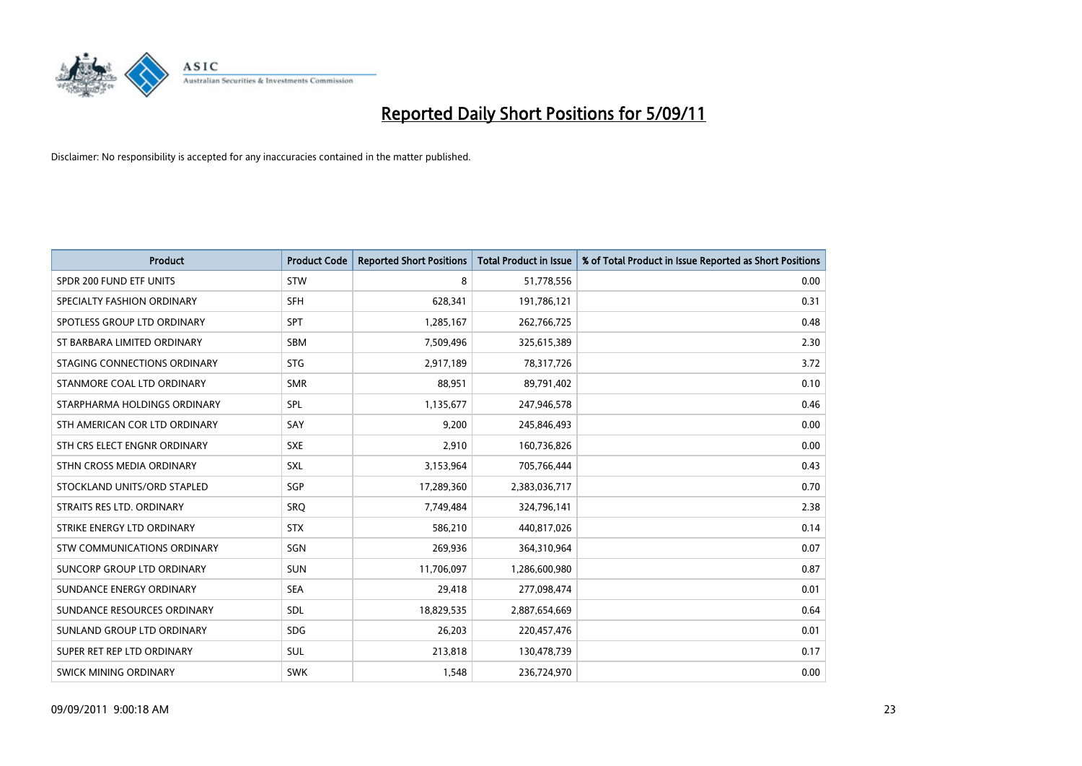

| Product                            | <b>Product Code</b> | <b>Reported Short Positions</b> | <b>Total Product in Issue</b> | % of Total Product in Issue Reported as Short Positions |
|------------------------------------|---------------------|---------------------------------|-------------------------------|---------------------------------------------------------|
| SPDR 200 FUND ETF UNITS            | <b>STW</b>          | 8                               | 51,778,556                    | 0.00                                                    |
| SPECIALTY FASHION ORDINARY         | <b>SFH</b>          | 628,341                         | 191,786,121                   | 0.31                                                    |
| SPOTLESS GROUP LTD ORDINARY        | <b>SPT</b>          | 1,285,167                       | 262,766,725                   | 0.48                                                    |
| ST BARBARA LIMITED ORDINARY        | <b>SBM</b>          | 7,509,496                       | 325,615,389                   | 2.30                                                    |
| STAGING CONNECTIONS ORDINARY       | <b>STG</b>          | 2,917,189                       | 78,317,726                    | 3.72                                                    |
| STANMORE COAL LTD ORDINARY         | <b>SMR</b>          | 88,951                          | 89,791,402                    | 0.10                                                    |
| STARPHARMA HOLDINGS ORDINARY       | SPL                 | 1,135,677                       | 247,946,578                   | 0.46                                                    |
| STH AMERICAN COR LTD ORDINARY      | SAY                 | 9,200                           | 245,846,493                   | 0.00                                                    |
| STH CRS ELECT ENGNR ORDINARY       | <b>SXE</b>          | 2,910                           | 160,736,826                   | 0.00                                                    |
| STHN CROSS MEDIA ORDINARY          | <b>SXL</b>          | 3,153,964                       | 705,766,444                   | 0.43                                                    |
| STOCKLAND UNITS/ORD STAPLED        | SGP                 | 17,289,360                      | 2,383,036,717                 | 0.70                                                    |
| STRAITS RES LTD. ORDINARY          | SRO                 | 7,749,484                       | 324,796,141                   | 2.38                                                    |
| STRIKE ENERGY LTD ORDINARY         | <b>STX</b>          | 586,210                         | 440,817,026                   | 0.14                                                    |
| <b>STW COMMUNICATIONS ORDINARY</b> | SGN                 | 269,936                         | 364,310,964                   | 0.07                                                    |
| SUNCORP GROUP LTD ORDINARY         | <b>SUN</b>          | 11,706,097                      | 1,286,600,980                 | 0.87                                                    |
| SUNDANCE ENERGY ORDINARY           | <b>SEA</b>          | 29,418                          | 277,098,474                   | 0.01                                                    |
| SUNDANCE RESOURCES ORDINARY        | SDL                 | 18,829,535                      | 2,887,654,669                 | 0.64                                                    |
| SUNLAND GROUP LTD ORDINARY         | <b>SDG</b>          | 26,203                          | 220,457,476                   | 0.01                                                    |
| SUPER RET REP LTD ORDINARY         | SUL                 | 213,818                         | 130,478,739                   | 0.17                                                    |
| <b>SWICK MINING ORDINARY</b>       | <b>SWK</b>          | 1,548                           | 236,724,970                   | 0.00                                                    |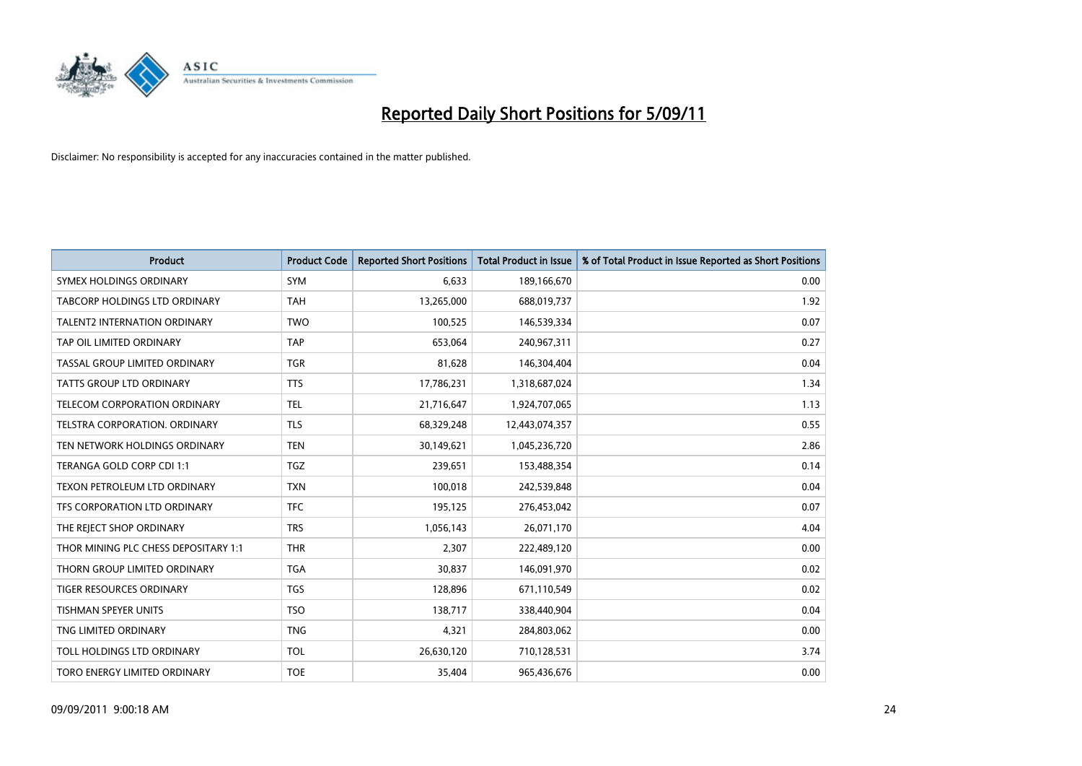

| Product                              | <b>Product Code</b> | <b>Reported Short Positions</b> | Total Product in Issue | % of Total Product in Issue Reported as Short Positions |
|--------------------------------------|---------------------|---------------------------------|------------------------|---------------------------------------------------------|
| <b>SYMEX HOLDINGS ORDINARY</b>       | <b>SYM</b>          | 6,633                           | 189,166,670            | 0.00                                                    |
| <b>TABCORP HOLDINGS LTD ORDINARY</b> | <b>TAH</b>          | 13,265,000                      | 688,019,737            | 1.92                                                    |
| <b>TALENT2 INTERNATION ORDINARY</b>  | <b>TWO</b>          | 100,525                         | 146,539,334            | 0.07                                                    |
| TAP OIL LIMITED ORDINARY             | <b>TAP</b>          | 653,064                         | 240,967,311            | 0.27                                                    |
| TASSAL GROUP LIMITED ORDINARY        | <b>TGR</b>          | 81,628                          | 146,304,404            | 0.04                                                    |
| TATTS GROUP LTD ORDINARY             | <b>TTS</b>          | 17,786,231                      | 1,318,687,024          | 1.34                                                    |
| TELECOM CORPORATION ORDINARY         | <b>TEL</b>          | 21,716,647                      | 1,924,707,065          | 1.13                                                    |
| TELSTRA CORPORATION, ORDINARY        | <b>TLS</b>          | 68,329,248                      | 12,443,074,357         | 0.55                                                    |
| TEN NETWORK HOLDINGS ORDINARY        | <b>TEN</b>          | 30,149,621                      | 1,045,236,720          | 2.86                                                    |
| TERANGA GOLD CORP CDI 1:1            | <b>TGZ</b>          | 239,651                         | 153,488,354            | 0.14                                                    |
| TEXON PETROLEUM LTD ORDINARY         | <b>TXN</b>          | 100,018                         | 242,539,848            | 0.04                                                    |
| TFS CORPORATION LTD ORDINARY         | <b>TFC</b>          | 195,125                         | 276,453,042            | 0.07                                                    |
| THE REJECT SHOP ORDINARY             | <b>TRS</b>          | 1,056,143                       | 26,071,170             | 4.04                                                    |
| THOR MINING PLC CHESS DEPOSITARY 1:1 | <b>THR</b>          | 2,307                           | 222,489,120            | 0.00                                                    |
| THORN GROUP LIMITED ORDINARY         | <b>TGA</b>          | 30,837                          | 146,091,970            | 0.02                                                    |
| <b>TIGER RESOURCES ORDINARY</b>      | <b>TGS</b>          | 128,896                         | 671,110,549            | 0.02                                                    |
| <b>TISHMAN SPEYER UNITS</b>          | <b>TSO</b>          | 138,717                         | 338,440,904            | 0.04                                                    |
| TNG LIMITED ORDINARY                 | <b>TNG</b>          | 4,321                           | 284,803,062            | 0.00                                                    |
| TOLL HOLDINGS LTD ORDINARY           | <b>TOL</b>          | 26,630,120                      | 710,128,531            | 3.74                                                    |
| TORO ENERGY LIMITED ORDINARY         | <b>TOE</b>          | 35,404                          | 965,436,676            | 0.00                                                    |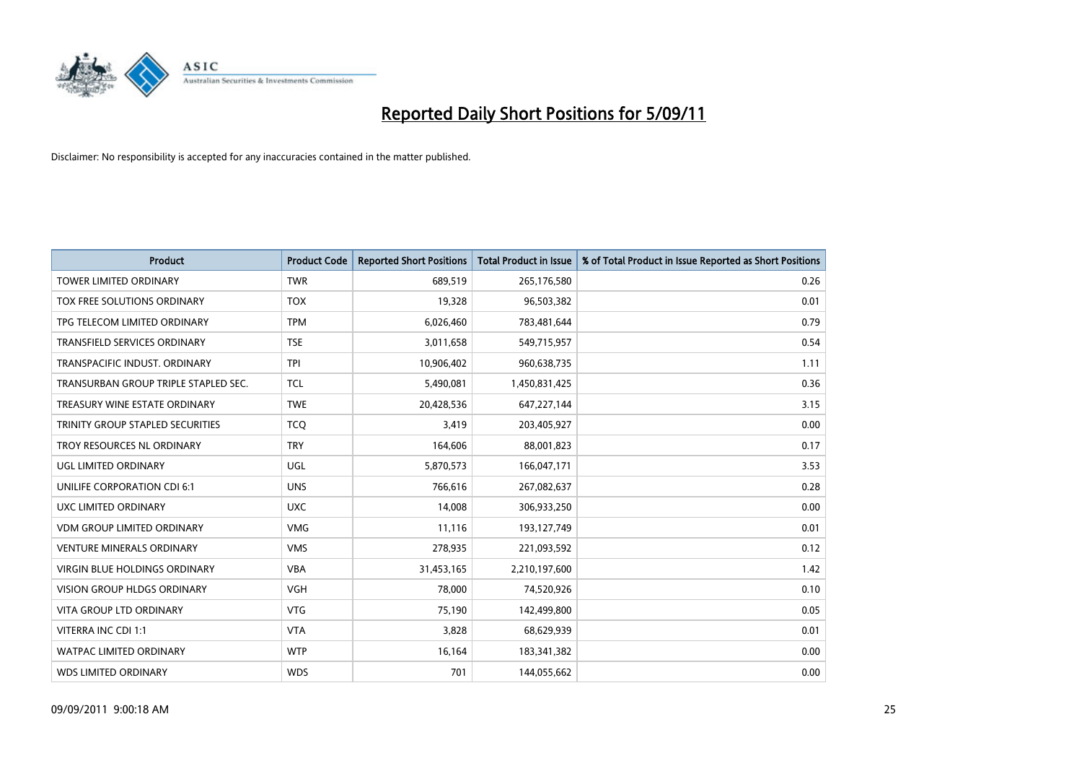

| Product                              | <b>Product Code</b> | <b>Reported Short Positions</b> | <b>Total Product in Issue</b> | % of Total Product in Issue Reported as Short Positions |
|--------------------------------------|---------------------|---------------------------------|-------------------------------|---------------------------------------------------------|
| <b>TOWER LIMITED ORDINARY</b>        | <b>TWR</b>          | 689,519                         | 265,176,580                   | 0.26                                                    |
| TOX FREE SOLUTIONS ORDINARY          | <b>TOX</b>          | 19,328                          | 96,503,382                    | 0.01                                                    |
| TPG TELECOM LIMITED ORDINARY         | <b>TPM</b>          | 6,026,460                       | 783,481,644                   | 0.79                                                    |
| TRANSFIELD SERVICES ORDINARY         | <b>TSE</b>          | 3,011,658                       | 549,715,957                   | 0.54                                                    |
| TRANSPACIFIC INDUST, ORDINARY        | <b>TPI</b>          | 10,906,402                      | 960,638,735                   | 1.11                                                    |
| TRANSURBAN GROUP TRIPLE STAPLED SEC. | <b>TCL</b>          | 5,490,081                       | 1,450,831,425                 | 0.36                                                    |
| TREASURY WINE ESTATE ORDINARY        | <b>TWE</b>          | 20,428,536                      | 647,227,144                   | 3.15                                                    |
| TRINITY GROUP STAPLED SECURITIES     | <b>TCQ</b>          | 3,419                           | 203,405,927                   | 0.00                                                    |
| TROY RESOURCES NL ORDINARY           | <b>TRY</b>          | 164,606                         | 88,001,823                    | 0.17                                                    |
| <b>UGL LIMITED ORDINARY</b>          | <b>UGL</b>          | 5,870,573                       | 166,047,171                   | 3.53                                                    |
| UNILIFE CORPORATION CDI 6:1          | <b>UNS</b>          | 766,616                         | 267,082,637                   | 0.28                                                    |
| UXC LIMITED ORDINARY                 | <b>UXC</b>          | 14,008                          | 306,933,250                   | 0.00                                                    |
| <b>VDM GROUP LIMITED ORDINARY</b>    | <b>VMG</b>          | 11,116                          | 193,127,749                   | 0.01                                                    |
| <b>VENTURE MINERALS ORDINARY</b>     | <b>VMS</b>          | 278,935                         | 221,093,592                   | 0.12                                                    |
| VIRGIN BLUE HOLDINGS ORDINARY        | <b>VBA</b>          | 31,453,165                      | 2,210,197,600                 | 1.42                                                    |
| <b>VISION GROUP HLDGS ORDINARY</b>   | <b>VGH</b>          | 78,000                          | 74,520,926                    | 0.10                                                    |
| <b>VITA GROUP LTD ORDINARY</b>       | <b>VTG</b>          | 75,190                          | 142,499,800                   | 0.05                                                    |
| VITERRA INC CDI 1:1                  | <b>VTA</b>          | 3,828                           | 68,629,939                    | 0.01                                                    |
| <b>WATPAC LIMITED ORDINARY</b>       | <b>WTP</b>          | 16,164                          | 183,341,382                   | 0.00                                                    |
| <b>WDS LIMITED ORDINARY</b>          | <b>WDS</b>          | 701                             | 144,055,662                   | 0.00                                                    |